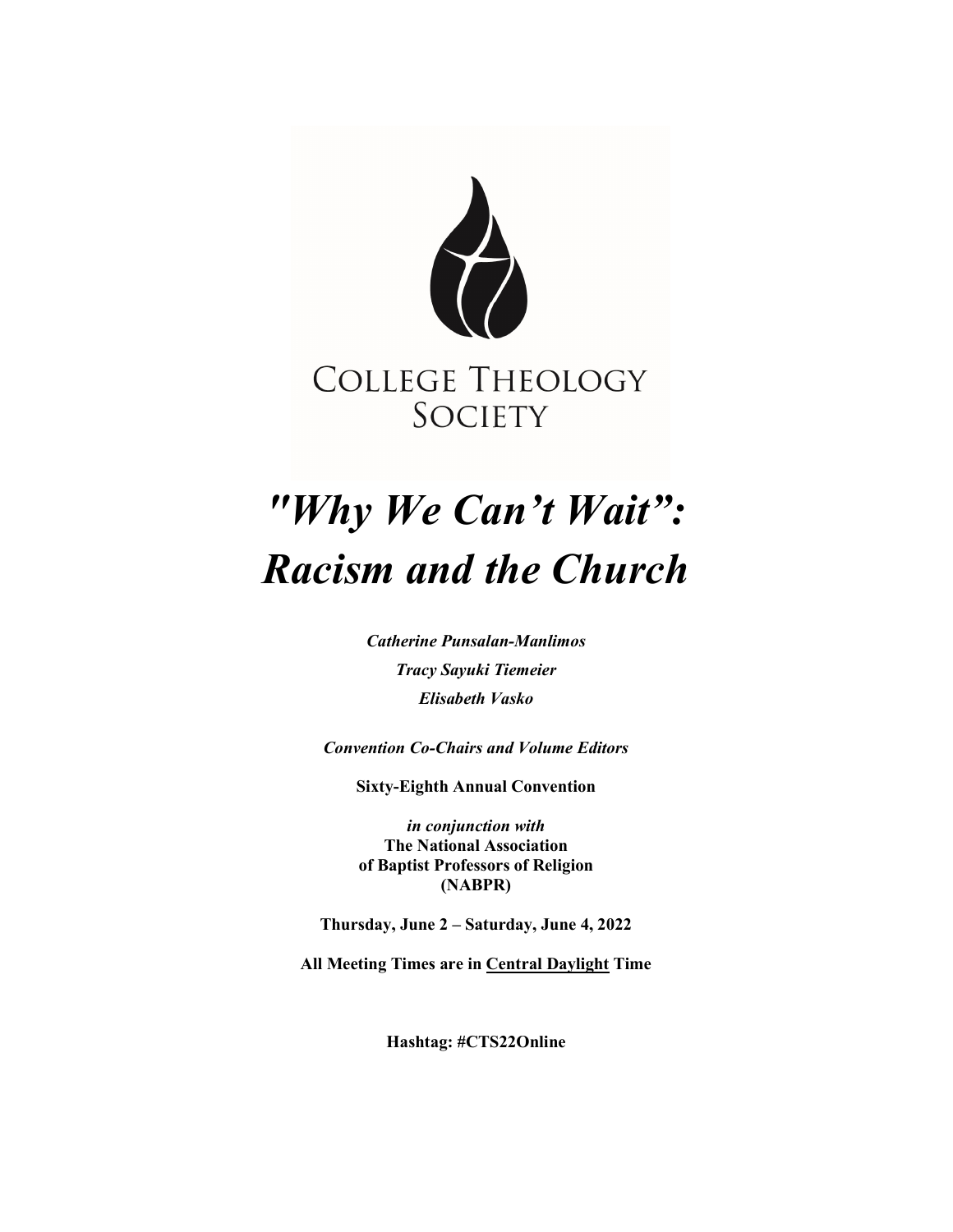

# "Why We Can't Wait": Racism and the Church

Catherine Punsalan-Manlimos Tracy Sayuki Tiemeier Elisabeth Vasko

Convention Co-Chairs and Volume Editors

Sixty-Eighth Annual Convention

in conjunction with The National Association of Baptist Professors of Religion (NABPR)

Thursday, June 2 – Saturday, June 4, 2022

All Meeting Times are in Central Daylight Time

Hashtag: #CTS22Online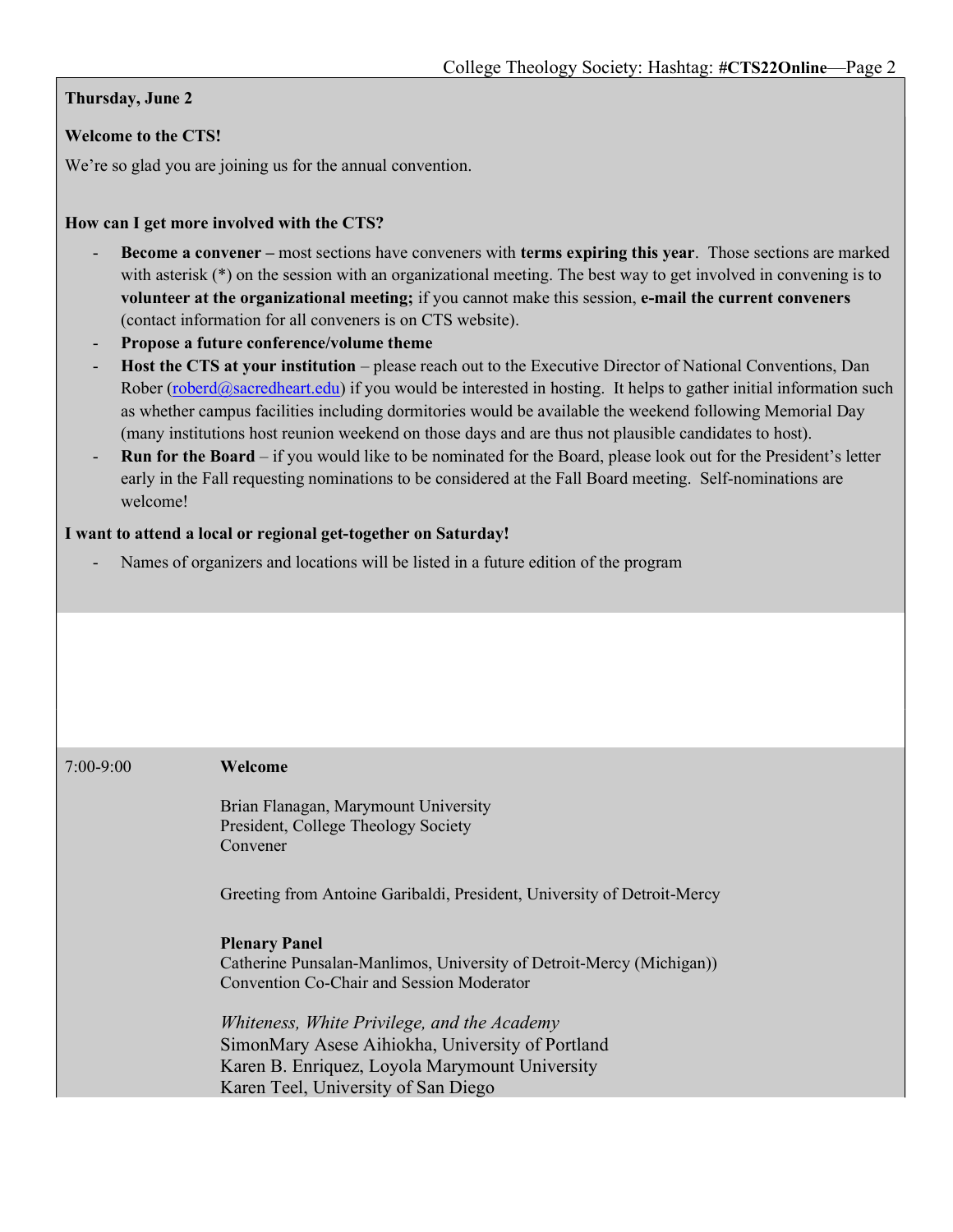## Thursday, June 2

## Welcome to the CTS!

We're so glad you are joining us for the annual convention.

#### How can I get more involved with the CTS?

- Become a convener most sections have conveners with terms expiring this year. Those sections are marked with asterisk (\*) on the session with an organizational meeting. The best way to get involved in convening is to volunteer at the organizational meeting; if you cannot make this session, e-mail the current conveners (contact information for all conveners is on CTS website).
- Propose a future conference/volume theme
- Host the CTS at your institution please reach out to the Executive Director of National Conventions, Dan Rober (roberd@sacredheart.edu) if you would be interested in hosting. It helps to gather initial information such as whether campus facilities including dormitories would be available the weekend following Memorial Day (many institutions host reunion weekend on those days and are thus not plausible candidates to host).
- **Run for the Board** if you would like to be nominated for the Board, please look out for the President's letter early in the Fall requesting nominations to be considered at the Fall Board meeting. Self-nominations are welcome!

#### I want to attend a local or regional get-together on Saturday!

Names of organizers and locations will be listed in a future edition of the program

#### 7:00-9:00 Welcome

Brian Flanagan, Marymount University President, College Theology Society Convener

Greeting from Antoine Garibaldi, President, University of Detroit-Mercy

# Plenary Panel

Catherine Punsalan-Manlimos, University of Detroit-Mercy (Michigan)) Convention Co-Chair and Session Moderator

Whiteness, White Privilege, and the Academy SimonMary Asese Aihiokha, University of Portland Karen B. Enriquez, Loyola Marymount University Karen Teel, University of San Diego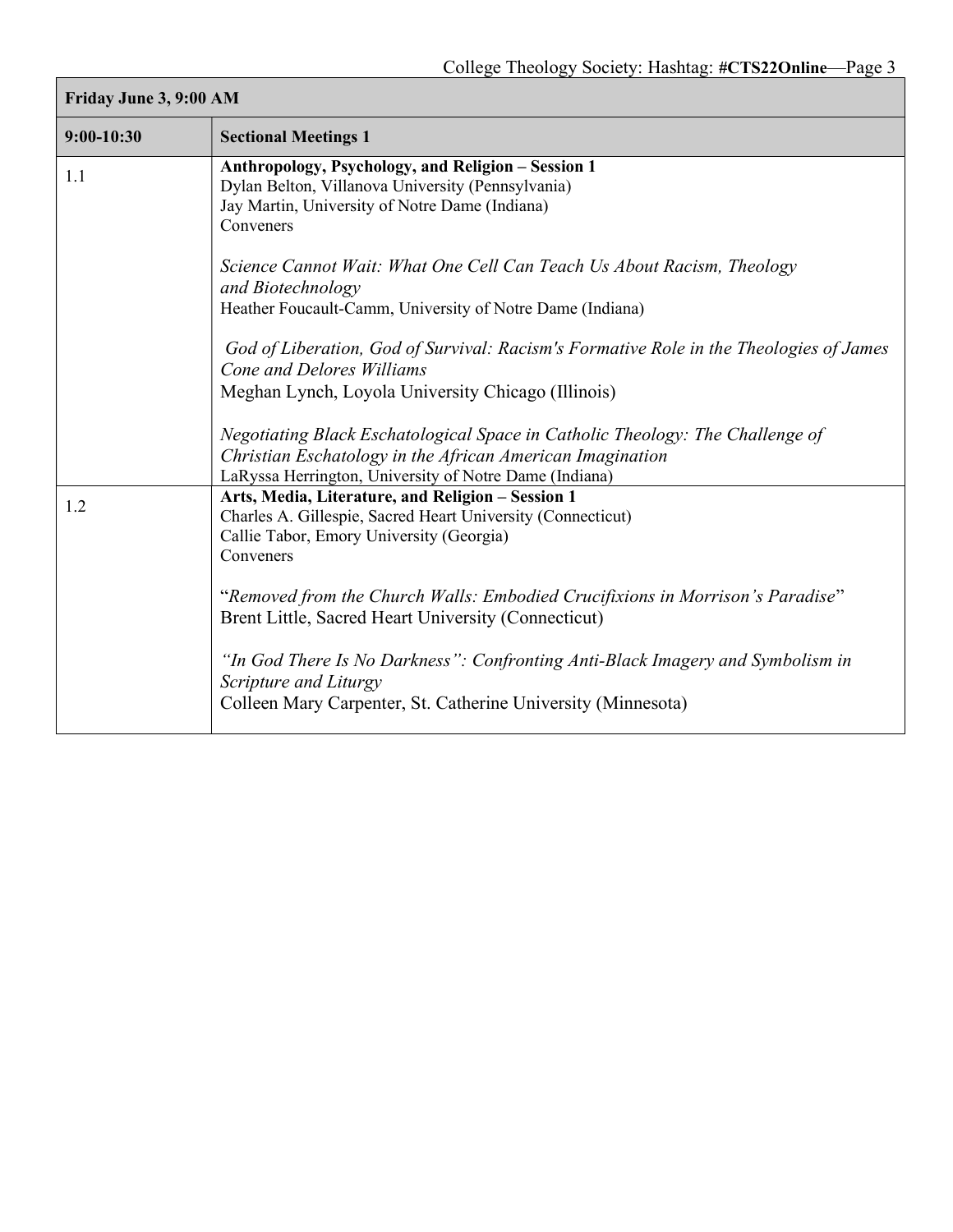| Friday June 3, 9:00 AM |                                                                                                                                                                                                      |  |
|------------------------|------------------------------------------------------------------------------------------------------------------------------------------------------------------------------------------------------|--|
| $9:00-10:30$           | <b>Sectional Meetings 1</b>                                                                                                                                                                          |  |
| 1.1                    | Anthropology, Psychology, and Religion - Session 1<br>Dylan Belton, Villanova University (Pennsylvania)<br>Jay Martin, University of Notre Dame (Indiana)<br>Conveners                               |  |
|                        | Science Cannot Wait: What One Cell Can Teach Us About Racism, Theology<br>and Biotechnology<br>Heather Foucault-Camm, University of Notre Dame (Indiana)                                             |  |
|                        | God of Liberation, God of Survival: Racism's Formative Role in the Theologies of James<br>Cone and Delores Williams<br>Meghan Lynch, Loyola University Chicago (Illinois)                            |  |
|                        | Negotiating Black Eschatological Space in Catholic Theology: The Challenge of<br>Christian Eschatology in the African American Imagination<br>LaRyssa Herrington, University of Notre Dame (Indiana) |  |
| 1.2                    | Arts, Media, Literature, and Religion - Session 1<br>Charles A. Gillespie, Sacred Heart University (Connecticut)<br>Callie Tabor, Emory University (Georgia)<br>Conveners                            |  |
|                        | "Removed from the Church Walls: Embodied Crucifixions in Morrison's Paradise"<br>Brent Little, Sacred Heart University (Connecticut)                                                                 |  |
|                        | "In God There Is No Darkness": Confronting Anti-Black Imagery and Symbolism in<br>Scripture and Liturgy<br>Colleen Mary Carpenter, St. Catherine University (Minnesota)                              |  |
|                        |                                                                                                                                                                                                      |  |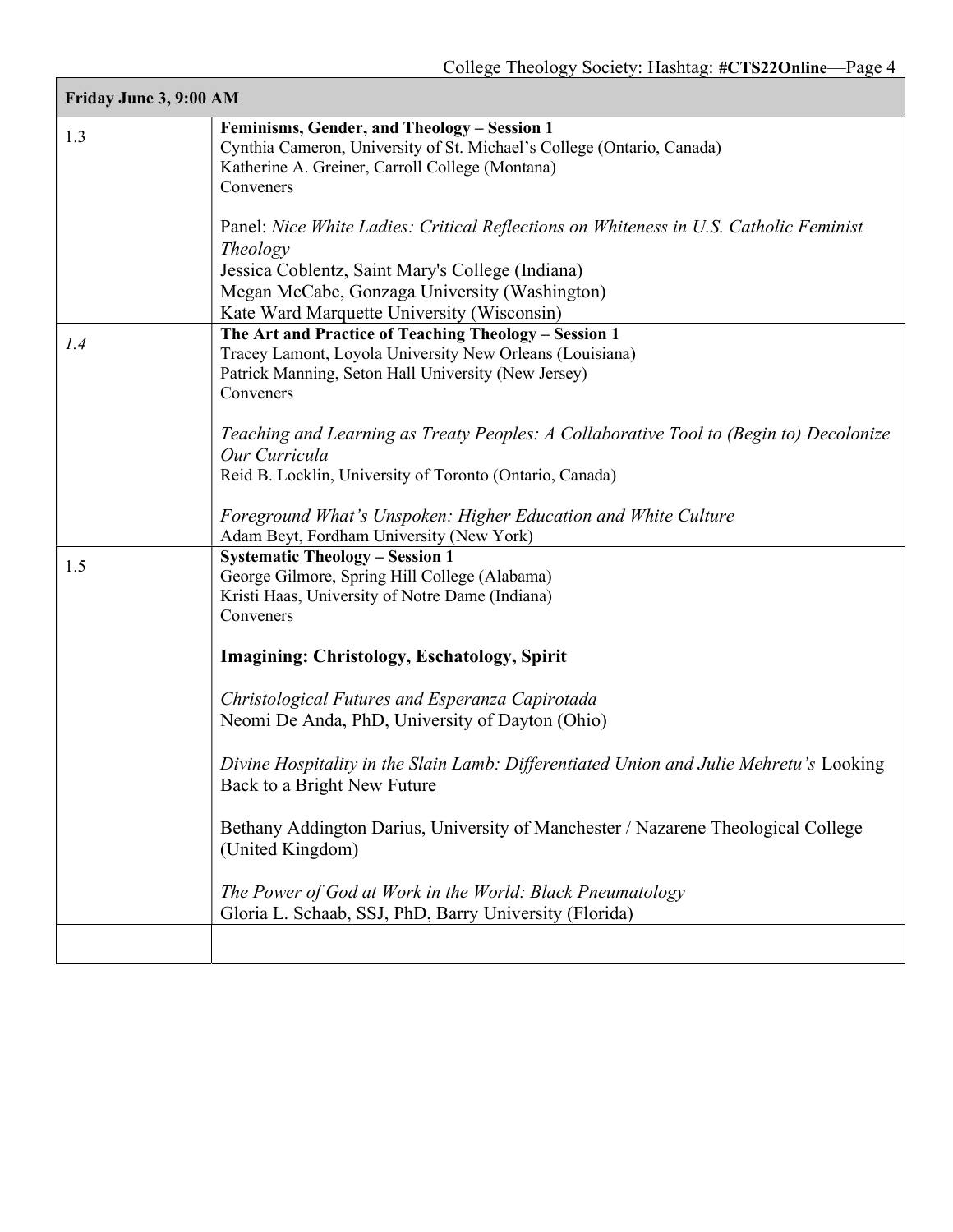| Friday June 3, 9:00 AM |                                                                                        |  |
|------------------------|----------------------------------------------------------------------------------------|--|
| 1.3                    | Feminisms, Gender, and Theology - Session 1                                            |  |
|                        | Cynthia Cameron, University of St. Michael's College (Ontario, Canada)                 |  |
|                        | Katherine A. Greiner, Carroll College (Montana)                                        |  |
|                        | Conveners                                                                              |  |
|                        | Panel: Nice White Ladies: Critical Reflections on Whiteness in U.S. Catholic Feminist  |  |
|                        | Theology                                                                               |  |
|                        | Jessica Coblentz, Saint Mary's College (Indiana)                                       |  |
|                        | Megan McCabe, Gonzaga University (Washington)                                          |  |
|                        | Kate Ward Marquette University (Wisconsin)                                             |  |
|                        | The Art and Practice of Teaching Theology - Session 1                                  |  |
| 1.4                    | Tracey Lamont, Loyola University New Orleans (Louisiana)                               |  |
|                        | Patrick Manning, Seton Hall University (New Jersey)                                    |  |
|                        | Conveners                                                                              |  |
|                        |                                                                                        |  |
|                        | Teaching and Learning as Treaty Peoples: A Collaborative Tool to (Begin to) Decolonize |  |
|                        | Our Curricula                                                                          |  |
|                        | Reid B. Locklin, University of Toronto (Ontario, Canada)                               |  |
|                        | Foreground What's Unspoken: Higher Education and White Culture                         |  |
|                        | Adam Beyt, Fordham University (New York)                                               |  |
|                        | <b>Systematic Theology - Session 1</b>                                                 |  |
| 1.5                    | George Gilmore, Spring Hill College (Alabama)                                          |  |
|                        | Kristi Haas, University of Notre Dame (Indiana)                                        |  |
|                        | Conveners                                                                              |  |
|                        |                                                                                        |  |
|                        | <b>Imagining: Christology, Eschatology, Spirit</b>                                     |  |
|                        | Christological Futures and Esperanza Capirotada                                        |  |
|                        | Neomi De Anda, PhD, University of Dayton (Ohio)                                        |  |
|                        |                                                                                        |  |
|                        | Divine Hospitality in the Slain Lamb: Differentiated Union and Julie Mehretu's Looking |  |
|                        | Back to a Bright New Future                                                            |  |
|                        |                                                                                        |  |
|                        | Bethany Addington Darius, University of Manchester / Nazarene Theological College      |  |
|                        | (United Kingdom)                                                                       |  |
|                        |                                                                                        |  |
|                        | The Power of God at Work in the World: Black Pneumatology                              |  |
|                        | Gloria L. Schaab, SSJ, PhD, Barry University (Florida)                                 |  |
|                        |                                                                                        |  |
|                        |                                                                                        |  |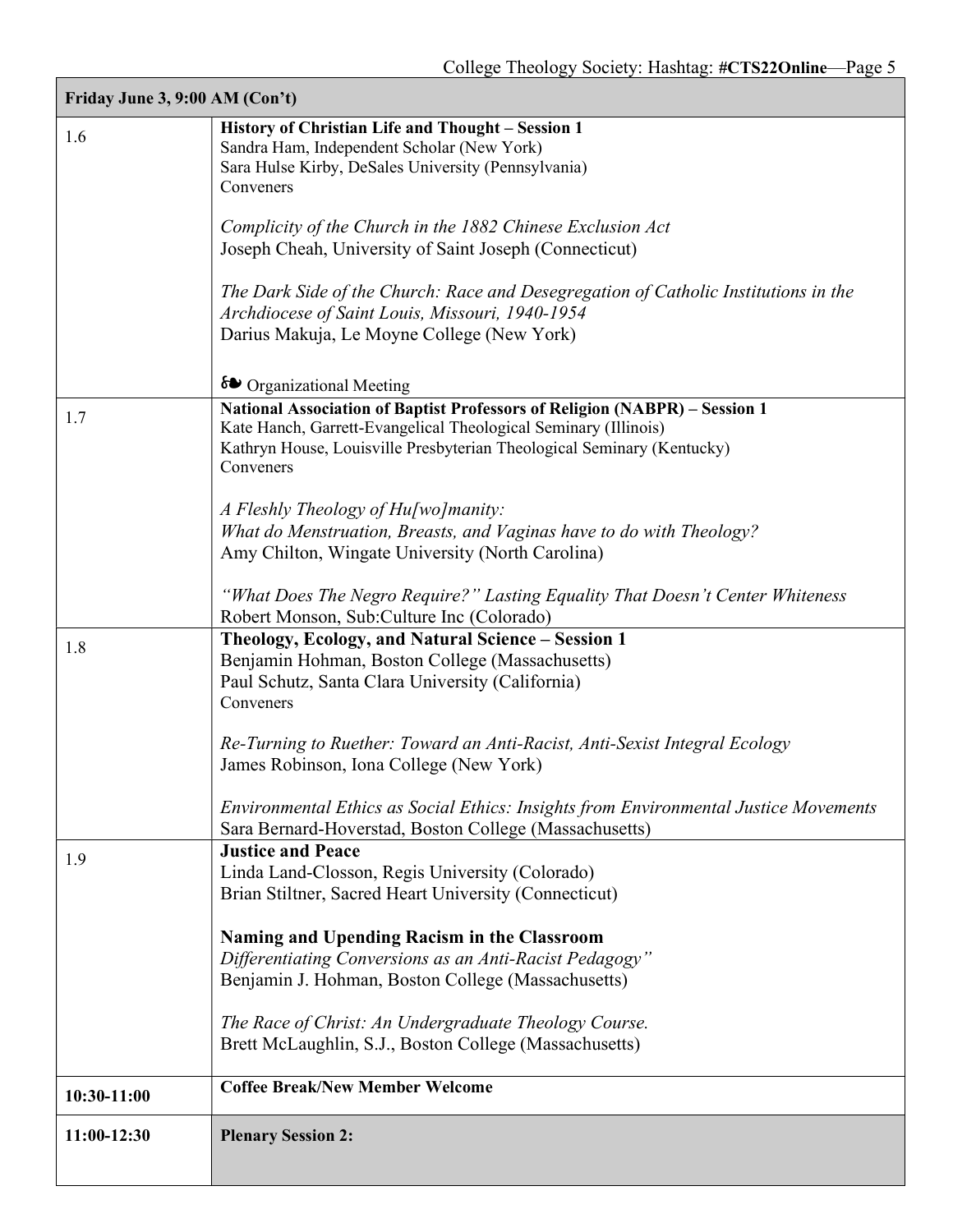| Friday June 3, 9:00 AM (Con't) |                                                                                                                                                                                                                                             |  |
|--------------------------------|---------------------------------------------------------------------------------------------------------------------------------------------------------------------------------------------------------------------------------------------|--|
| 1.6                            | History of Christian Life and Thought - Session 1<br>Sandra Ham, Independent Scholar (New York)<br>Sara Hulse Kirby, DeSales University (Pennsylvania)<br>Conveners                                                                         |  |
|                                | Complicity of the Church in the 1882 Chinese Exclusion Act<br>Joseph Cheah, University of Saint Joseph (Connecticut)                                                                                                                        |  |
|                                | The Dark Side of the Church: Race and Desegregation of Catholic Institutions in the<br>Archdiocese of Saint Louis, Missouri, 1940-1954<br>Darius Makuja, Le Moyne College (New York)                                                        |  |
|                                | 6 <sup>●</sup> Organizational Meeting                                                                                                                                                                                                       |  |
| 1.7                            | <b>National Association of Baptist Professors of Religion (NABPR) - Session 1</b><br>Kate Hanch, Garrett-Evangelical Theological Seminary (Illinois)<br>Kathryn House, Louisville Presbyterian Theological Seminary (Kentucky)<br>Conveners |  |
|                                | A Fleshly Theology of Hu[wo]manity:<br>What do Menstruation, Breasts, and Vaginas have to do with Theology?<br>Amy Chilton, Wingate University (North Carolina)                                                                             |  |
|                                | "What Does The Negro Require?" Lasting Equality That Doesn't Center Whiteness<br>Robert Monson, Sub:Culture Inc (Colorado)                                                                                                                  |  |
| 1.8                            | Theology, Ecology, and Natural Science - Session 1<br>Benjamin Hohman, Boston College (Massachusetts)<br>Paul Schutz, Santa Clara University (California)<br>Conveners                                                                      |  |
|                                | Re-Turning to Ruether: Toward an Anti-Racist, Anti-Sexist Integral Ecology<br>James Robinson, Iona College (New York)                                                                                                                       |  |
|                                | Environmental Ethics as Social Ethics: Insights from Environmental Justice Movements<br>Sara Bernard-Hoverstad, Boston College (Massachusetts)                                                                                              |  |
| 1.9                            | <b>Justice and Peace</b><br>Linda Land-Closson, Regis University (Colorado)<br>Brian Stiltner, Sacred Heart University (Connecticut)                                                                                                        |  |
|                                | <b>Naming and Upending Racism in the Classroom</b><br>Differentiating Conversions as an Anti-Racist Pedagogy"<br>Benjamin J. Hohman, Boston College (Massachusetts)                                                                         |  |
|                                | The Race of Christ: An Undergraduate Theology Course.<br>Brett McLaughlin, S.J., Boston College (Massachusetts)                                                                                                                             |  |
| 10:30-11:00                    | <b>Coffee Break/New Member Welcome</b>                                                                                                                                                                                                      |  |
| 11:00-12:30                    | <b>Plenary Session 2:</b>                                                                                                                                                                                                                   |  |
|                                |                                                                                                                                                                                                                                             |  |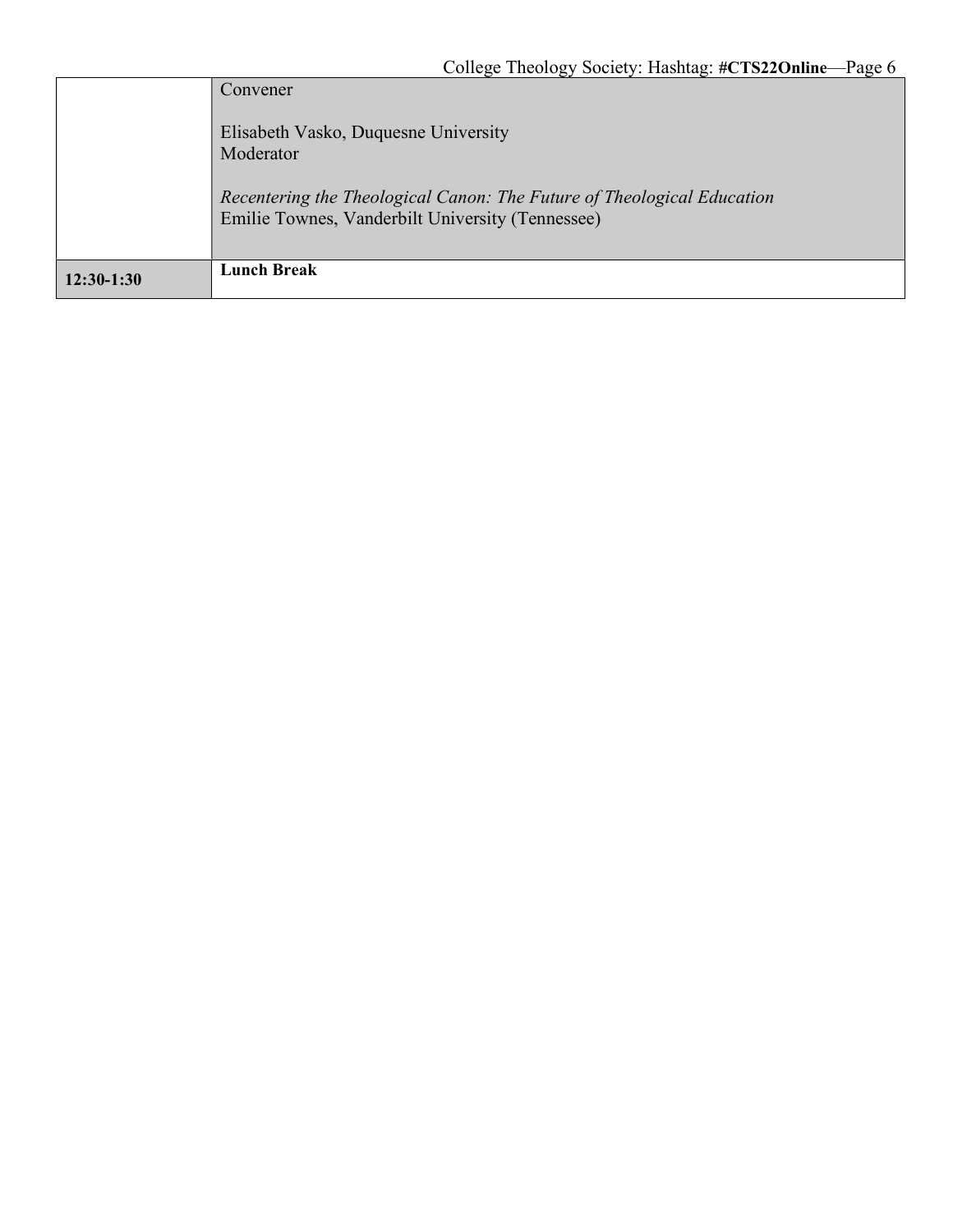| $12:30-1:30$ | <b>Lunch Break</b>                                                                                                         |
|--------------|----------------------------------------------------------------------------------------------------------------------------|
|              | Recentering the Theological Canon: The Future of Theological Education<br>Emilie Townes, Vanderbilt University (Tennessee) |
|              | Elisabeth Vasko, Duquesne University<br>Moderator                                                                          |
|              | Convener                                                                                                                   |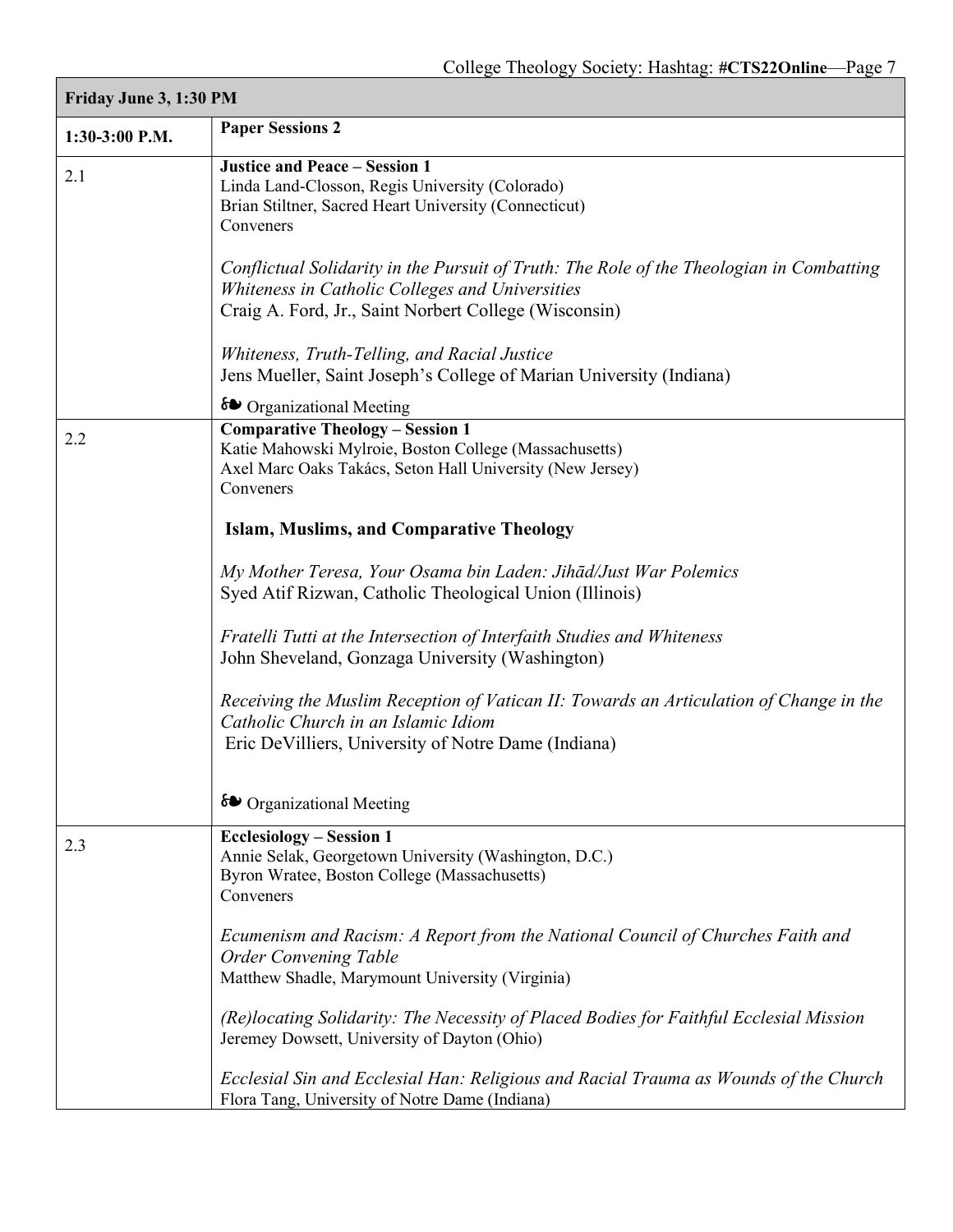| Friday June 3, 1:30 PM |                                                                                                                                                                                                                                                                                                                                                                                                                                                                                                                                       |  |
|------------------------|---------------------------------------------------------------------------------------------------------------------------------------------------------------------------------------------------------------------------------------------------------------------------------------------------------------------------------------------------------------------------------------------------------------------------------------------------------------------------------------------------------------------------------------|--|
| 1:30-3:00 P.M.         | <b>Paper Sessions 2</b>                                                                                                                                                                                                                                                                                                                                                                                                                                                                                                               |  |
| 2.1                    | <b>Justice and Peace – Session 1</b><br>Linda Land-Closson, Regis University (Colorado)<br>Brian Stiltner, Sacred Heart University (Connecticut)<br>Conveners<br>Conflictual Solidarity in the Pursuit of Truth: The Role of the Theologian in Combatting<br>Whiteness in Catholic Colleges and Universities<br>Craig A. Ford, Jr., Saint Norbert College (Wisconsin)<br>Whiteness, Truth-Telling, and Racial Justice<br>Jens Mueller, Saint Joseph's College of Marian University (Indiana)<br>6 <sup>→</sup> Organizational Meeting |  |
|                        |                                                                                                                                                                                                                                                                                                                                                                                                                                                                                                                                       |  |
| 2.2                    | <b>Comparative Theology - Session 1</b><br>Katie Mahowski Mylroie, Boston College (Massachusetts)<br>Axel Marc Oaks Takács, Seton Hall University (New Jersey)<br>Conveners                                                                                                                                                                                                                                                                                                                                                           |  |
|                        | Islam, Muslims, and Comparative Theology                                                                                                                                                                                                                                                                                                                                                                                                                                                                                              |  |
|                        | My Mother Teresa, Your Osama bin Laden: Jihād/Just War Polemics<br>Syed Atif Rizwan, Catholic Theological Union (Illinois)                                                                                                                                                                                                                                                                                                                                                                                                            |  |
|                        | Fratelli Tutti at the Intersection of Interfaith Studies and Whiteness<br>John Sheveland, Gonzaga University (Washington)                                                                                                                                                                                                                                                                                                                                                                                                             |  |
|                        | Receiving the Muslim Reception of Vatican II: Towards an Articulation of Change in the<br>Catholic Church in an Islamic Idiom<br>Eric DeVilliers, University of Notre Dame (Indiana)                                                                                                                                                                                                                                                                                                                                                  |  |
|                        | $6\bullet$ Organizational Meeting                                                                                                                                                                                                                                                                                                                                                                                                                                                                                                     |  |
| 2.3                    | <b>Ecclesiology - Session 1</b><br>Annie Selak, Georgetown University (Washington, D.C.)<br>Byron Wratee, Boston College (Massachusetts)<br>Conveners                                                                                                                                                                                                                                                                                                                                                                                 |  |
|                        | Ecumenism and Racism: A Report from the National Council of Churches Faith and<br><b>Order Convening Table</b><br>Matthew Shadle, Marymount University (Virginia)                                                                                                                                                                                                                                                                                                                                                                     |  |
|                        | (Re)locating Solidarity: The Necessity of Placed Bodies for Faithful Ecclesial Mission<br>Jeremey Dowsett, University of Dayton (Ohio)                                                                                                                                                                                                                                                                                                                                                                                                |  |
|                        | Ecclesial Sin and Ecclesial Han: Religious and Racial Trauma as Wounds of the Church<br>Flora Tang, University of Notre Dame (Indiana)                                                                                                                                                                                                                                                                                                                                                                                                |  |

I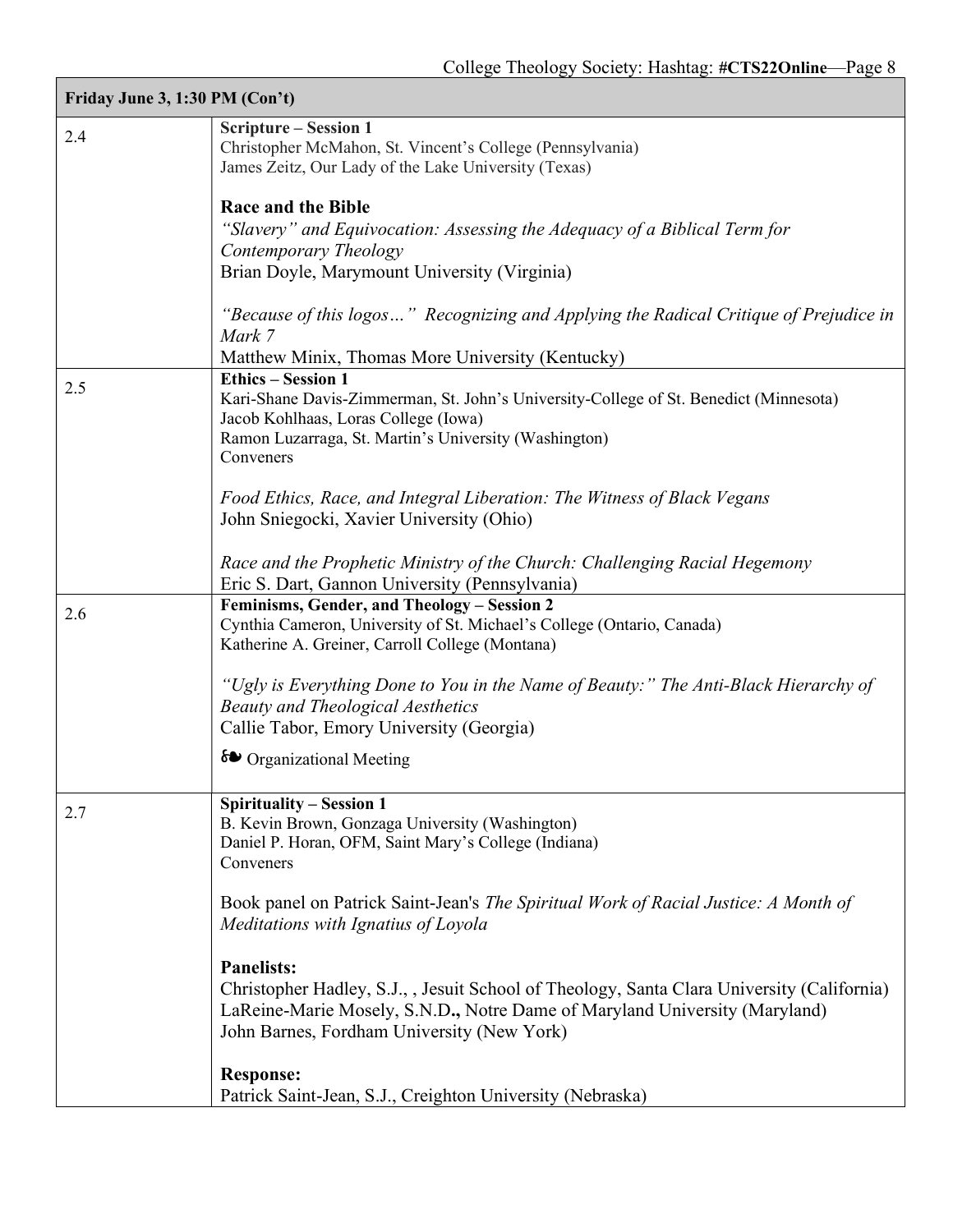| Friday June 3, 1:30 PM (Con't) |                                                                                                                                                                                                                                             |  |
|--------------------------------|---------------------------------------------------------------------------------------------------------------------------------------------------------------------------------------------------------------------------------------------|--|
| 2.4                            | <b>Scripture - Session 1</b><br>Christopher McMahon, St. Vincent's College (Pennsylvania)<br>James Zeitz, Our Lady of the Lake University (Texas)                                                                                           |  |
|                                | <b>Race and the Bible</b><br>"Slavery" and Equivocation: Assessing the Adequacy of a Biblical Term for<br>Contemporary Theology                                                                                                             |  |
|                                | Brian Doyle, Marymount University (Virginia)                                                                                                                                                                                                |  |
|                                | "Because of this logos" Recognizing and Applying the Radical Critique of Prejudice in<br>Mark 7<br>Matthew Minix, Thomas More University (Kentucky)                                                                                         |  |
| 2.5                            | <b>Ethics - Session 1</b><br>Kari-Shane Davis-Zimmerman, St. John's University-College of St. Benedict (Minnesota)<br>Jacob Kohlhaas, Loras College (Iowa)<br>Ramon Luzarraga, St. Martin's University (Washington)<br>Conveners            |  |
|                                | Food Ethics, Race, and Integral Liberation: The Witness of Black Vegans<br>John Sniegocki, Xavier University (Ohio)                                                                                                                         |  |
|                                | Race and the Prophetic Ministry of the Church: Challenging Racial Hegemony<br>Eric S. Dart, Gannon University (Pennsylvania)                                                                                                                |  |
| 2.6                            | Feminisms, Gender, and Theology - Session 2<br>Cynthia Cameron, University of St. Michael's College (Ontario, Canada)<br>Katherine A. Greiner, Carroll College (Montana)                                                                    |  |
|                                | "Ugly is Everything Done to You in the Name of Beauty:" The Anti-Black Hierarchy of<br><b>Beauty and Theological Aesthetics</b><br>Callie Tabor, Emory University (Georgia)                                                                 |  |
|                                | $\delta$ Organizational Meeting                                                                                                                                                                                                             |  |
| 2.7                            | <b>Spirituality – Session 1</b><br>B. Kevin Brown, Gonzaga University (Washington)<br>Daniel P. Horan, OFM, Saint Mary's College (Indiana)<br>Conveners                                                                                     |  |
|                                | Book panel on Patrick Saint-Jean's The Spiritual Work of Racial Justice: A Month of<br>Meditations with Ignatius of Loyola                                                                                                                  |  |
|                                | <b>Panelists:</b><br>Christopher Hadley, S.J., , Jesuit School of Theology, Santa Clara University (California)<br>LaReine-Marie Mosely, S.N.D., Notre Dame of Maryland University (Maryland)<br>John Barnes, Fordham University (New York) |  |
|                                | <b>Response:</b><br>Patrick Saint-Jean, S.J., Creighton University (Nebraska)                                                                                                                                                               |  |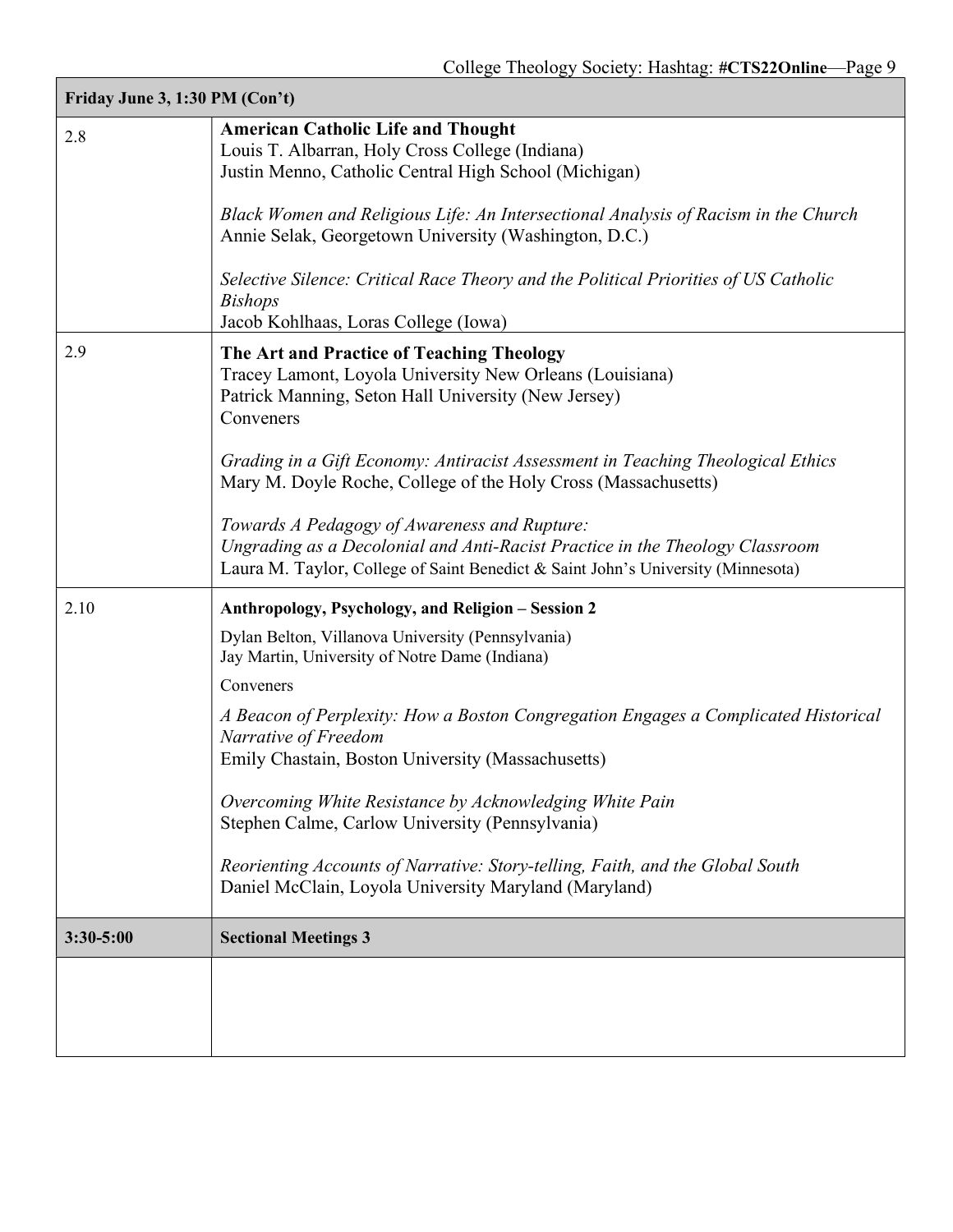| Friday June 3, 1:30 PM (Con't) |                                                                                                                                                                                                                                                                                                                                                                                |  |
|--------------------------------|--------------------------------------------------------------------------------------------------------------------------------------------------------------------------------------------------------------------------------------------------------------------------------------------------------------------------------------------------------------------------------|--|
| 2.8                            | <b>American Catholic Life and Thought</b><br>Louis T. Albarran, Holy Cross College (Indiana)<br>Justin Menno, Catholic Central High School (Michigan)<br>Black Women and Religious Life: An Intersectional Analysis of Racism in the Church<br>Annie Selak, Georgetown University (Washington, D.C.)                                                                           |  |
|                                | Selective Silence: Critical Race Theory and the Political Priorities of US Catholic<br><b>Bishops</b><br>Jacob Kohlhaas, Loras College (Iowa)                                                                                                                                                                                                                                  |  |
| 2.9                            | The Art and Practice of Teaching Theology<br>Tracey Lamont, Loyola University New Orleans (Louisiana)<br>Patrick Manning, Seton Hall University (New Jersey)<br>Conveners<br>Grading in a Gift Economy: Antiracist Assessment in Teaching Theological Ethics<br>Mary M. Doyle Roche, College of the Holy Cross (Massachusetts)<br>Towards A Pedagogy of Awareness and Rupture: |  |
|                                | Ungrading as a Decolonial and Anti-Racist Practice in the Theology Classroom<br>Laura M. Taylor, College of Saint Benedict & Saint John's University (Minnesota)                                                                                                                                                                                                               |  |
| 2.10                           | Anthropology, Psychology, and Religion - Session 2<br>Dylan Belton, Villanova University (Pennsylvania)<br>Jay Martin, University of Notre Dame (Indiana)<br>Conveners                                                                                                                                                                                                         |  |
|                                | A Beacon of Perplexity: How a Boston Congregation Engages a Complicated Historical<br>Narrative of Freedom<br>Emily Chastain, Boston University (Massachusetts)<br>Overcoming White Resistance by Acknowledging White Pain<br>Stephen Calme, Carlow University (Pennsylvania)                                                                                                  |  |
|                                | Reorienting Accounts of Narrative: Story-telling, Faith, and the Global South<br>Daniel McClain, Loyola University Maryland (Maryland)                                                                                                                                                                                                                                         |  |
| $3:30 - 5:00$                  | <b>Sectional Meetings 3</b>                                                                                                                                                                                                                                                                                                                                                    |  |
|                                |                                                                                                                                                                                                                                                                                                                                                                                |  |

Г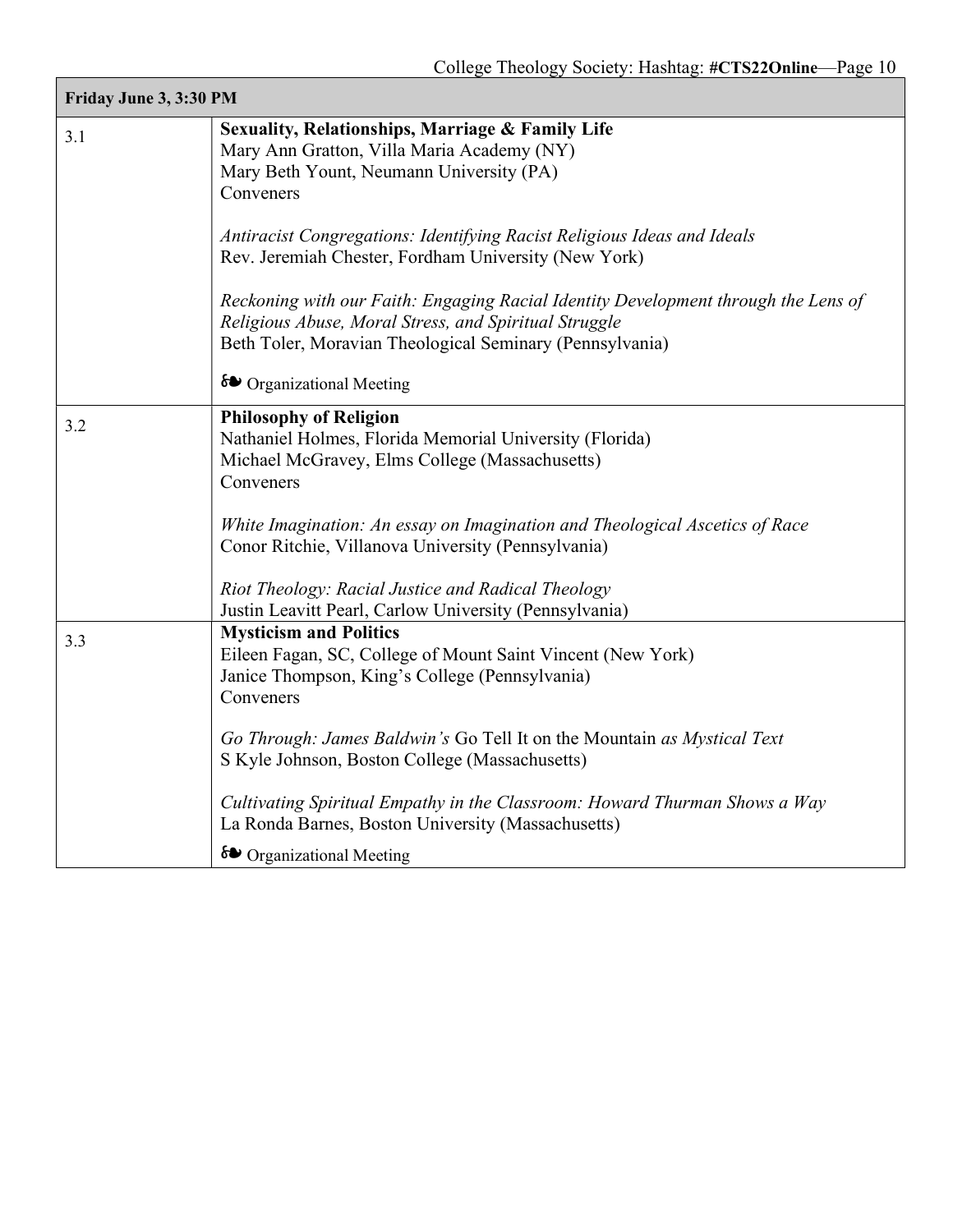| Friday June 3, 3:30 PM |                                                                                                                                   |  |
|------------------------|-----------------------------------------------------------------------------------------------------------------------------------|--|
| 3.1                    | Sexuality, Relationships, Marriage & Family Life                                                                                  |  |
|                        | Mary Ann Gratton, Villa Maria Academy (NY)                                                                                        |  |
|                        | Mary Beth Yount, Neumann University (PA)                                                                                          |  |
|                        | Conveners                                                                                                                         |  |
|                        | Antiracist Congregations: Identifying Racist Religious Ideas and Ideals<br>Rev. Jeremiah Chester, Fordham University (New York)   |  |
|                        | Reckoning with our Faith: Engaging Racial Identity Development through the Lens of                                                |  |
|                        | Religious Abuse, Moral Stress, and Spiritual Struggle                                                                             |  |
|                        | Beth Toler, Moravian Theological Seminary (Pennsylvania)                                                                          |  |
|                        |                                                                                                                                   |  |
|                        | 6 <sup>●</sup> Organizational Meeting                                                                                             |  |
| 3.2                    | <b>Philosophy of Religion</b>                                                                                                     |  |
|                        | Nathaniel Holmes, Florida Memorial University (Florida)                                                                           |  |
|                        | Michael McGravey, Elms College (Massachusetts)                                                                                    |  |
|                        | Conveners                                                                                                                         |  |
|                        | White Imagination: An essay on Imagination and Theological Ascetics of Race<br>Conor Ritchie, Villanova University (Pennsylvania) |  |
|                        | Riot Theology: Racial Justice and Radical Theology                                                                                |  |
|                        | Justin Leavitt Pearl, Carlow University (Pennsylvania)                                                                            |  |
|                        | <b>Mysticism and Politics</b>                                                                                                     |  |
| 3.3                    | Eileen Fagan, SC, College of Mount Saint Vincent (New York)                                                                       |  |
|                        | Janice Thompson, King's College (Pennsylvania)                                                                                    |  |
|                        | Conveners                                                                                                                         |  |
|                        |                                                                                                                                   |  |
|                        | Go Through: James Baldwin's Go Tell It on the Mountain as Mystical Text                                                           |  |
|                        | S Kyle Johnson, Boston College (Massachusetts)                                                                                    |  |
|                        |                                                                                                                                   |  |
|                        | Cultivating Spiritual Empathy in the Classroom: Howard Thurman Shows a Way                                                        |  |
|                        | La Ronda Barnes, Boston University (Massachusetts)                                                                                |  |
|                        | $6\bullet$ Organizational Meeting                                                                                                 |  |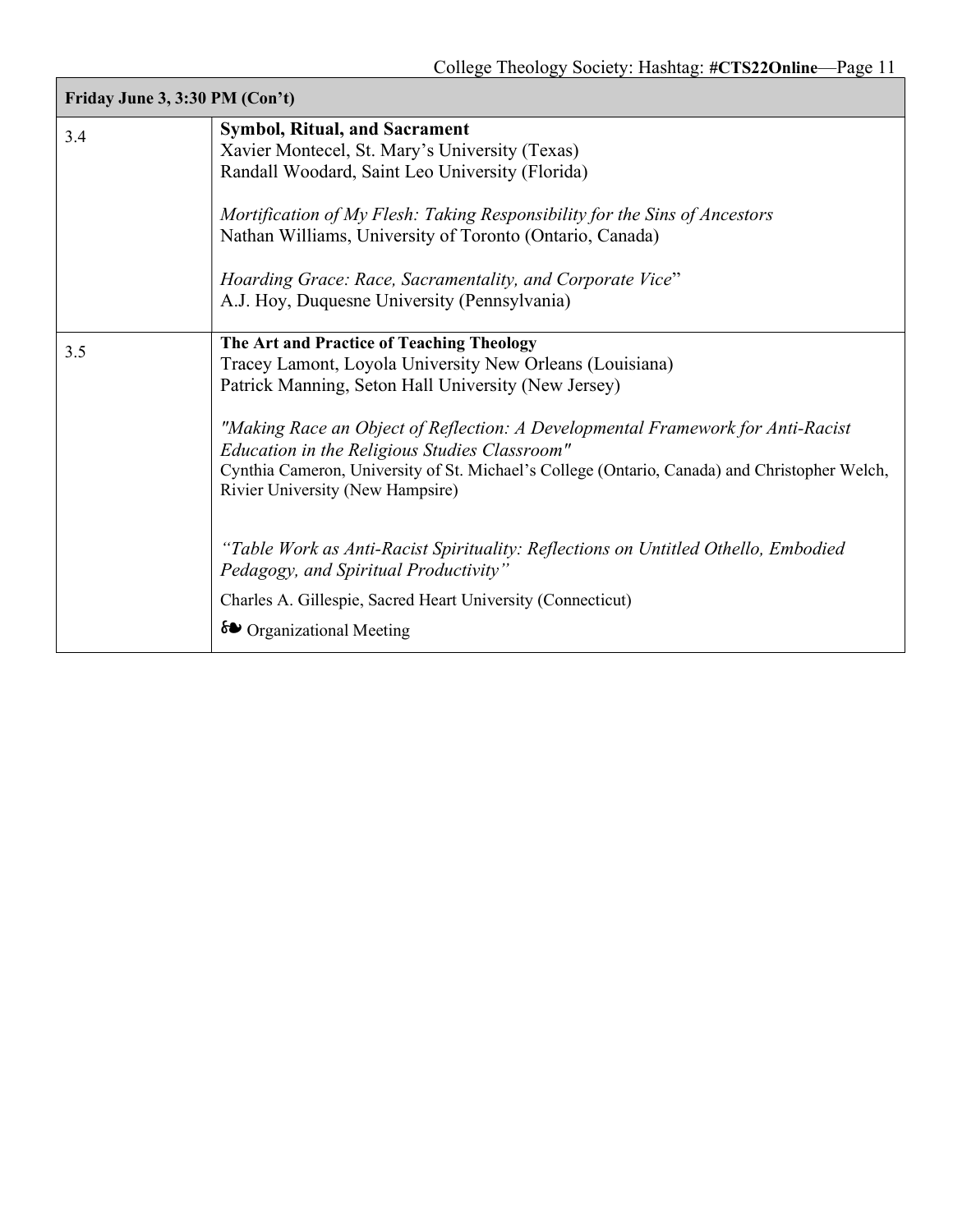| Friday June 3, 3:30 PM (Con't) |                                                                                                                                                                                                                                                                                                                                                                                                   |  |
|--------------------------------|---------------------------------------------------------------------------------------------------------------------------------------------------------------------------------------------------------------------------------------------------------------------------------------------------------------------------------------------------------------------------------------------------|--|
| 3.4                            | <b>Symbol, Ritual, and Sacrament</b><br>Xavier Montecel, St. Mary's University (Texas)<br>Randall Woodard, Saint Leo University (Florida)<br>Mortification of My Flesh: Taking Responsibility for the Sins of Ancestors<br>Nathan Williams, University of Toronto (Ontario, Canada)                                                                                                               |  |
|                                | Hoarding Grace: Race, Sacramentality, and Corporate Vice"<br>A.J. Hoy, Duquesne University (Pennsylvania)                                                                                                                                                                                                                                                                                         |  |
| 3.5                            | The Art and Practice of Teaching Theology<br>Tracey Lamont, Loyola University New Orleans (Louisiana)<br>Patrick Manning, Seton Hall University (New Jersey)<br>"Making Race an Object of Reflection: A Developmental Framework for Anti-Racist<br>Education in the Religious Studies Classroom"<br>Cynthia Cameron, University of St. Michael's College (Ontario, Canada) and Christopher Welch, |  |
|                                | Rivier University (New Hampsire)<br>"Table Work as Anti-Racist Spirituality: Reflections on Untitled Othello, Embodied<br>Pedagogy, and Spiritual Productivity"<br>Charles A. Gillespie, Sacred Heart University (Connecticut)<br>$\delta$ Organizational Meeting                                                                                                                                 |  |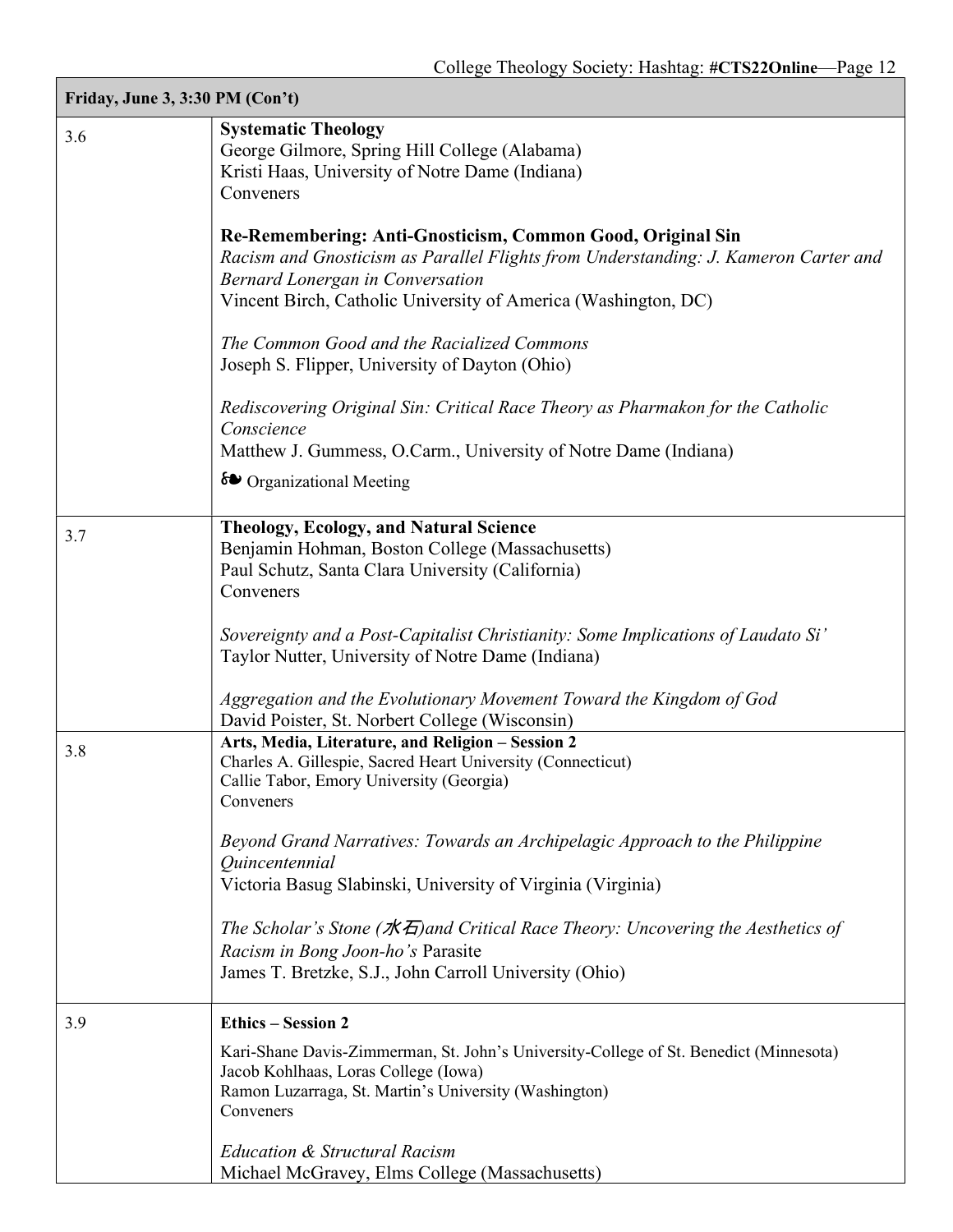| Friday, June 3, 3:30 PM (Con't) |                                                                                                                                                                                                           |  |
|---------------------------------|-----------------------------------------------------------------------------------------------------------------------------------------------------------------------------------------------------------|--|
| 3.6                             | <b>Systematic Theology</b><br>George Gilmore, Spring Hill College (Alabama)<br>Kristi Haas, University of Notre Dame (Indiana)<br>Conveners<br>Re-Remembering: Anti-Gnosticism, Common Good, Original Sin |  |
|                                 | Racism and Gnosticism as Parallel Flights from Understanding: J. Kameron Carter and<br>Bernard Lonergan in Conversation<br>Vincent Birch, Catholic University of America (Washington, DC)                 |  |
|                                 | The Common Good and the Racialized Commons<br>Joseph S. Flipper, University of Dayton (Ohio)                                                                                                              |  |
|                                 | Rediscovering Original Sin: Critical Race Theory as Pharmakon for the Catholic<br>Conscience                                                                                                              |  |
|                                 | Matthew J. Gummess, O.Carm., University of Notre Dame (Indiana)<br>t <sup>t</sup> Organizational Meeting                                                                                                  |  |
| 3.7                             | <b>Theology, Ecology, and Natural Science</b><br>Benjamin Hohman, Boston College (Massachusetts)<br>Paul Schutz, Santa Clara University (California)<br>Conveners                                         |  |
|                                 | Sovereignty and a Post-Capitalist Christianity: Some Implications of Laudato Si'<br>Taylor Nutter, University of Notre Dame (Indiana)                                                                     |  |
|                                 | Aggregation and the Evolutionary Movement Toward the Kingdom of God<br>David Poister, St. Norbert College (Wisconsin)                                                                                     |  |
| 3.8                             | Arts, Media, Literature, and Religion - Session 2<br>Charles A. Gillespie, Sacred Heart University (Connecticut)<br>Callie Tabor, Emory University (Georgia)<br>Conveners                                 |  |
|                                 | Beyond Grand Narratives: Towards an Archipelagic Approach to the Philippine<br>Quincentennial<br>Victoria Basug Slabinski, University of Virginia (Virginia)                                              |  |
|                                 | The Scholar's Stone ( $\mathcal{K}\overline{H}$ ) and Critical Race Theory: Uncovering the Aesthetics of<br>Racism in Bong Joon-ho's Parasite<br>James T. Bretzke, S.J., John Carroll University (Ohio)   |  |
| 3.9                             | <b>Ethics - Session 2</b>                                                                                                                                                                                 |  |
|                                 | Kari-Shane Davis-Zimmerman, St. John's University-College of St. Benedict (Minnesota)<br>Jacob Kohlhaas, Loras College (Iowa)<br>Ramon Luzarraga, St. Martin's University (Washington)<br>Conveners       |  |
|                                 | <b>Education &amp; Structural Racism</b><br>Michael McGravey, Elms College (Massachusetts)                                                                                                                |  |

Г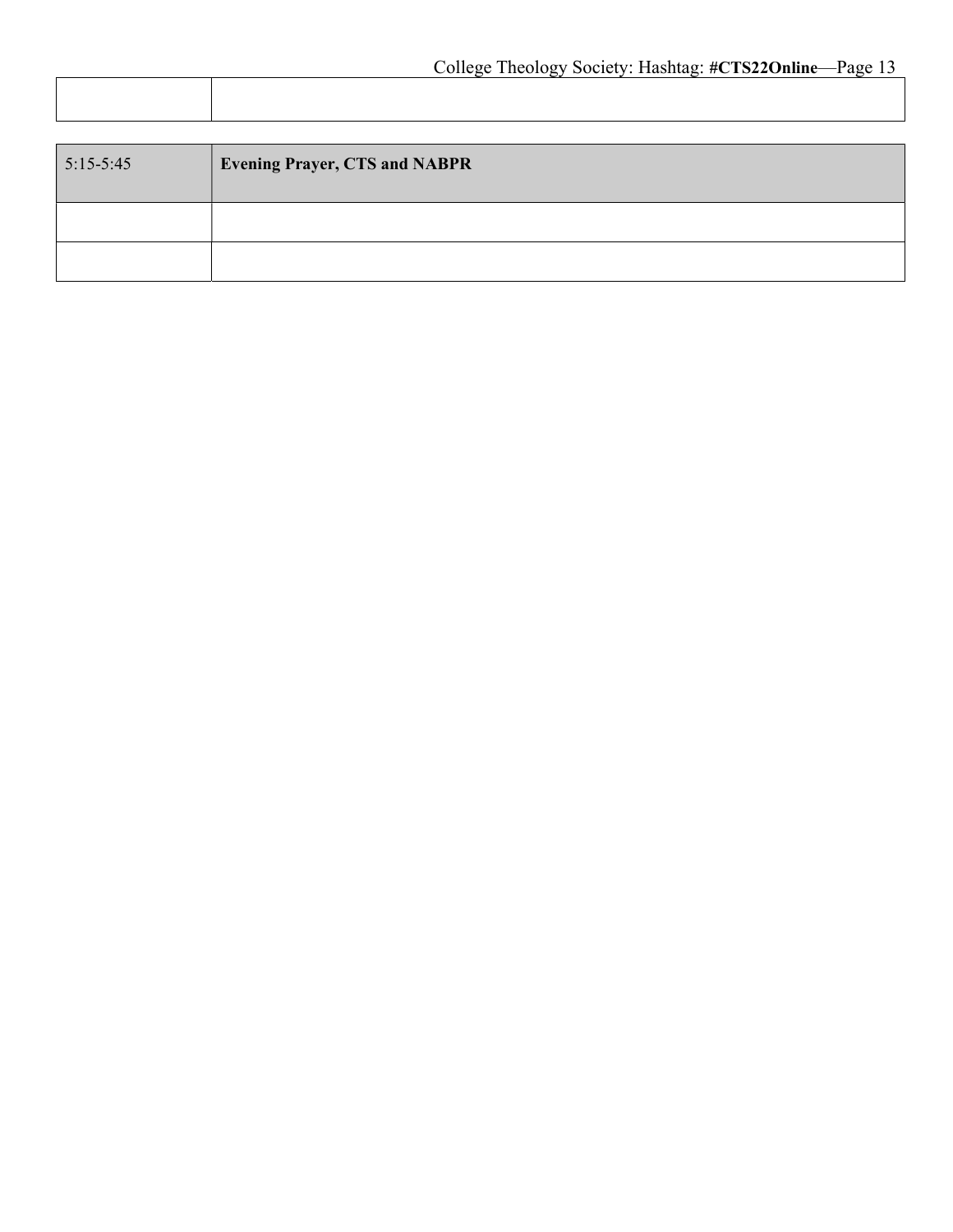| $5:15-5:45$ | <b>Evening Prayer, CTS and NABPR</b> |
|-------------|--------------------------------------|
|             |                                      |
|             |                                      |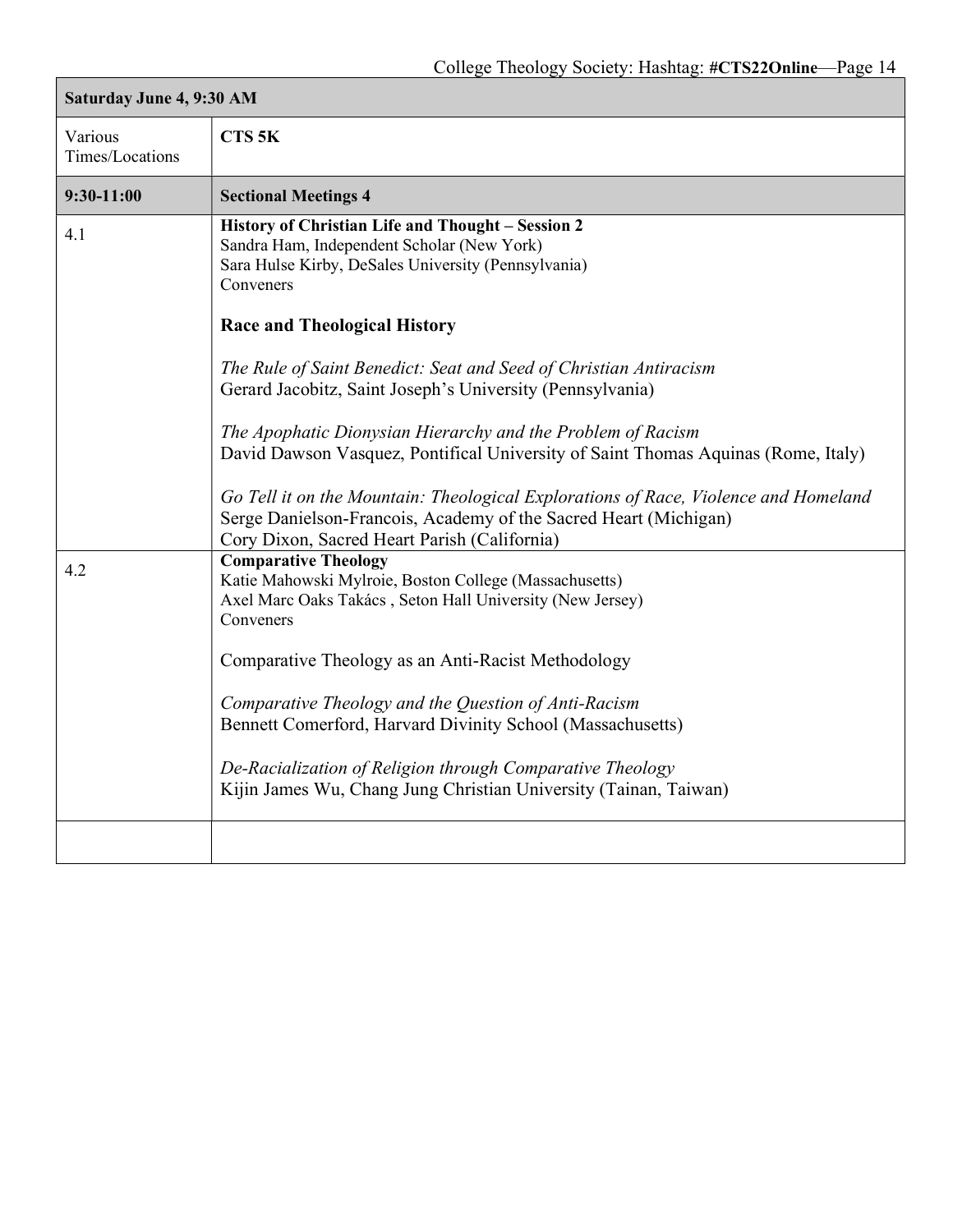| Saturday June 4, 9:30 AM   |                                                                                                                                                                                                                                                                                                                                                                                                                                                                                                                                                                                                                                                                                                                                                                                                                                                                                                                                                                                                                                                                                                                                                                                             |
|----------------------------|---------------------------------------------------------------------------------------------------------------------------------------------------------------------------------------------------------------------------------------------------------------------------------------------------------------------------------------------------------------------------------------------------------------------------------------------------------------------------------------------------------------------------------------------------------------------------------------------------------------------------------------------------------------------------------------------------------------------------------------------------------------------------------------------------------------------------------------------------------------------------------------------------------------------------------------------------------------------------------------------------------------------------------------------------------------------------------------------------------------------------------------------------------------------------------------------|
| Various<br>Times/Locations | CTS <sub>5</sub> K                                                                                                                                                                                                                                                                                                                                                                                                                                                                                                                                                                                                                                                                                                                                                                                                                                                                                                                                                                                                                                                                                                                                                                          |
| $9:30-11:00$               | <b>Sectional Meetings 4</b>                                                                                                                                                                                                                                                                                                                                                                                                                                                                                                                                                                                                                                                                                                                                                                                                                                                                                                                                                                                                                                                                                                                                                                 |
| 4.1<br>4.2                 | History of Christian Life and Thought - Session 2<br>Sandra Ham, Independent Scholar (New York)<br>Sara Hulse Kirby, DeSales University (Pennsylvania)<br>Conveners<br><b>Race and Theological History</b><br>The Rule of Saint Benedict: Seat and Seed of Christian Antiracism<br>Gerard Jacobitz, Saint Joseph's University (Pennsylvania)<br>The Apophatic Dionysian Hierarchy and the Problem of Racism<br>David Dawson Vasquez, Pontifical University of Saint Thomas Aquinas (Rome, Italy)<br>Go Tell it on the Mountain: Theological Explorations of Race, Violence and Homeland<br>Serge Danielson-Francois, Academy of the Sacred Heart (Michigan)<br>Cory Dixon, Sacred Heart Parish (California)<br><b>Comparative Theology</b><br>Katie Mahowski Mylroie, Boston College (Massachusetts)<br>Axel Marc Oaks Takács, Seton Hall University (New Jersey)<br>Conveners<br>Comparative Theology as an Anti-Racist Methodology<br>Comparative Theology and the Question of Anti-Racism<br>Bennett Comerford, Harvard Divinity School (Massachusetts)<br>De-Racialization of Religion through Comparative Theology<br>Kijin James Wu, Chang Jung Christian University (Tainan, Taiwan) |
|                            |                                                                                                                                                                                                                                                                                                                                                                                                                                                                                                                                                                                                                                                                                                                                                                                                                                                                                                                                                                                                                                                                                                                                                                                             |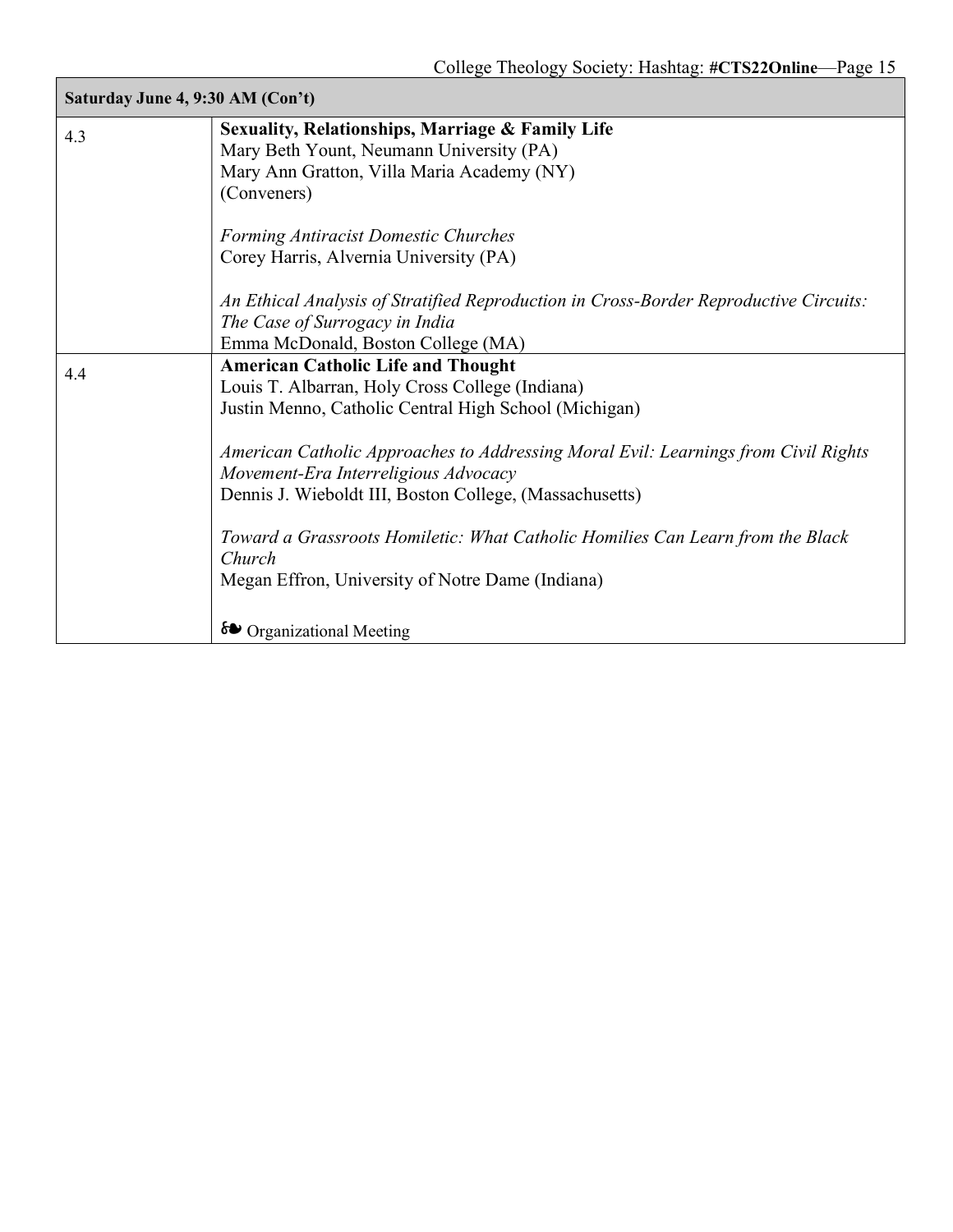| Saturday June 4, 9:30 AM (Con't) |                                                                                                                                                                                                                                                                                                                                                                                                                                                                                                |  |
|----------------------------------|------------------------------------------------------------------------------------------------------------------------------------------------------------------------------------------------------------------------------------------------------------------------------------------------------------------------------------------------------------------------------------------------------------------------------------------------------------------------------------------------|--|
| 4.3                              | Sexuality, Relationships, Marriage & Family Life<br>Mary Beth Yount, Neumann University (PA)<br>Mary Ann Gratton, Villa Maria Academy (NY)<br>(Conveners)                                                                                                                                                                                                                                                                                                                                      |  |
|                                  | Forming Antiracist Domestic Churches<br>Corey Harris, Alvernia University (PA)                                                                                                                                                                                                                                                                                                                                                                                                                 |  |
|                                  | An Ethical Analysis of Stratified Reproduction in Cross-Border Reproductive Circuits:<br>The Case of Surrogacy in India<br>Emma McDonald, Boston College (MA)                                                                                                                                                                                                                                                                                                                                  |  |
| 4.4                              | <b>American Catholic Life and Thought</b><br>Louis T. Albarran, Holy Cross College (Indiana)<br>Justin Menno, Catholic Central High School (Michigan)<br>American Catholic Approaches to Addressing Moral Evil: Learnings from Civil Rights<br>Movement-Era Interreligious Advocacy<br>Dennis J. Wieboldt III, Boston College, (Massachusetts)<br>Toward a Grassroots Homiletic: What Catholic Homilies Can Learn from the Black<br>Church<br>Megan Effron, University of Notre Dame (Indiana) |  |
|                                  | ৳● Organizational Meeting                                                                                                                                                                                                                                                                                                                                                                                                                                                                      |  |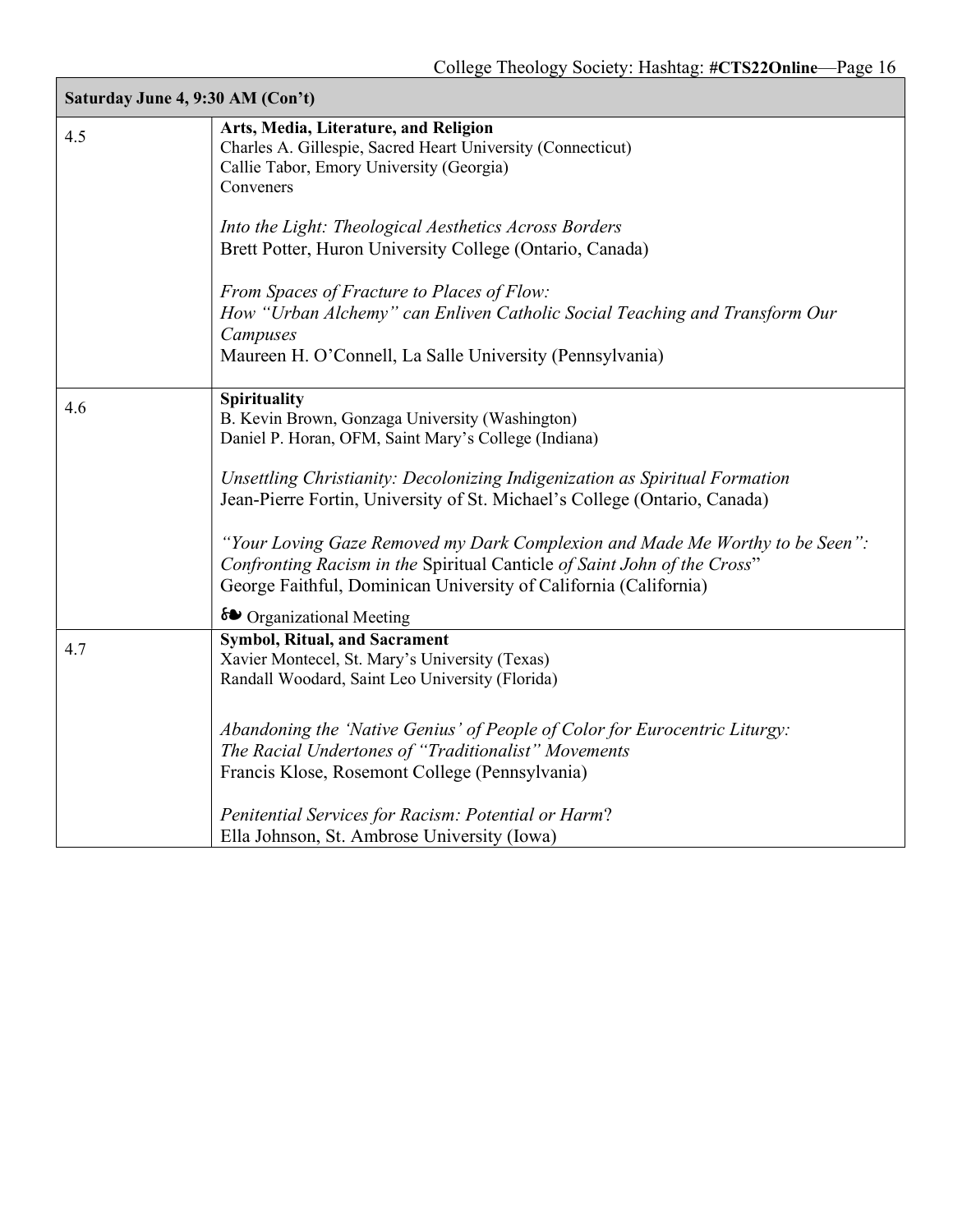| Saturday June 4, 9:30 AM (Con't) |                                                                                                                                                                                                                                                                                                                                                                                                                                                        |  |
|----------------------------------|--------------------------------------------------------------------------------------------------------------------------------------------------------------------------------------------------------------------------------------------------------------------------------------------------------------------------------------------------------------------------------------------------------------------------------------------------------|--|
| 4.5                              | Arts, Media, Literature, and Religion<br>Charles A. Gillespie, Sacred Heart University (Connecticut)<br>Callie Tabor, Emory University (Georgia)<br>Conveners                                                                                                                                                                                                                                                                                          |  |
|                                  | Into the Light: Theological Aesthetics Across Borders<br>Brett Potter, Huron University College (Ontario, Canada)                                                                                                                                                                                                                                                                                                                                      |  |
|                                  | From Spaces of Fracture to Places of Flow:<br>How "Urban Alchemy" can Enliven Catholic Social Teaching and Transform Our<br>Campuses<br>Maureen H. O'Connell, La Salle University (Pennsylvania)                                                                                                                                                                                                                                                       |  |
| 4.6                              | <b>Spirituality</b><br>B. Kevin Brown, Gonzaga University (Washington)<br>Daniel P. Horan, OFM, Saint Mary's College (Indiana)<br>Unsettling Christianity: Decolonizing Indigenization as Spiritual Formation<br>Jean-Pierre Fortin, University of St. Michael's College (Ontario, Canada)<br>"Your Loving Gaze Removed my Dark Complexion and Made Me Worthy to be Seen":<br>Confronting Racism in the Spiritual Canticle of Saint John of the Cross" |  |
|                                  | George Faithful, Dominican University of California (California)<br>$6\bullet$ Organizational Meeting                                                                                                                                                                                                                                                                                                                                                  |  |
| 4.7                              | <b>Symbol, Ritual, and Sacrament</b><br>Xavier Montecel, St. Mary's University (Texas)<br>Randall Woodard, Saint Leo University (Florida)                                                                                                                                                                                                                                                                                                              |  |
|                                  | Abandoning the 'Native Genius' of People of Color for Eurocentric Liturgy:<br>The Racial Undertones of "Traditionalist" Movements<br>Francis Klose, Rosemont College (Pennsylvania)                                                                                                                                                                                                                                                                    |  |
|                                  | Penitential Services for Racism: Potential or Harm?<br>Ella Johnson, St. Ambrose University (Iowa)                                                                                                                                                                                                                                                                                                                                                     |  |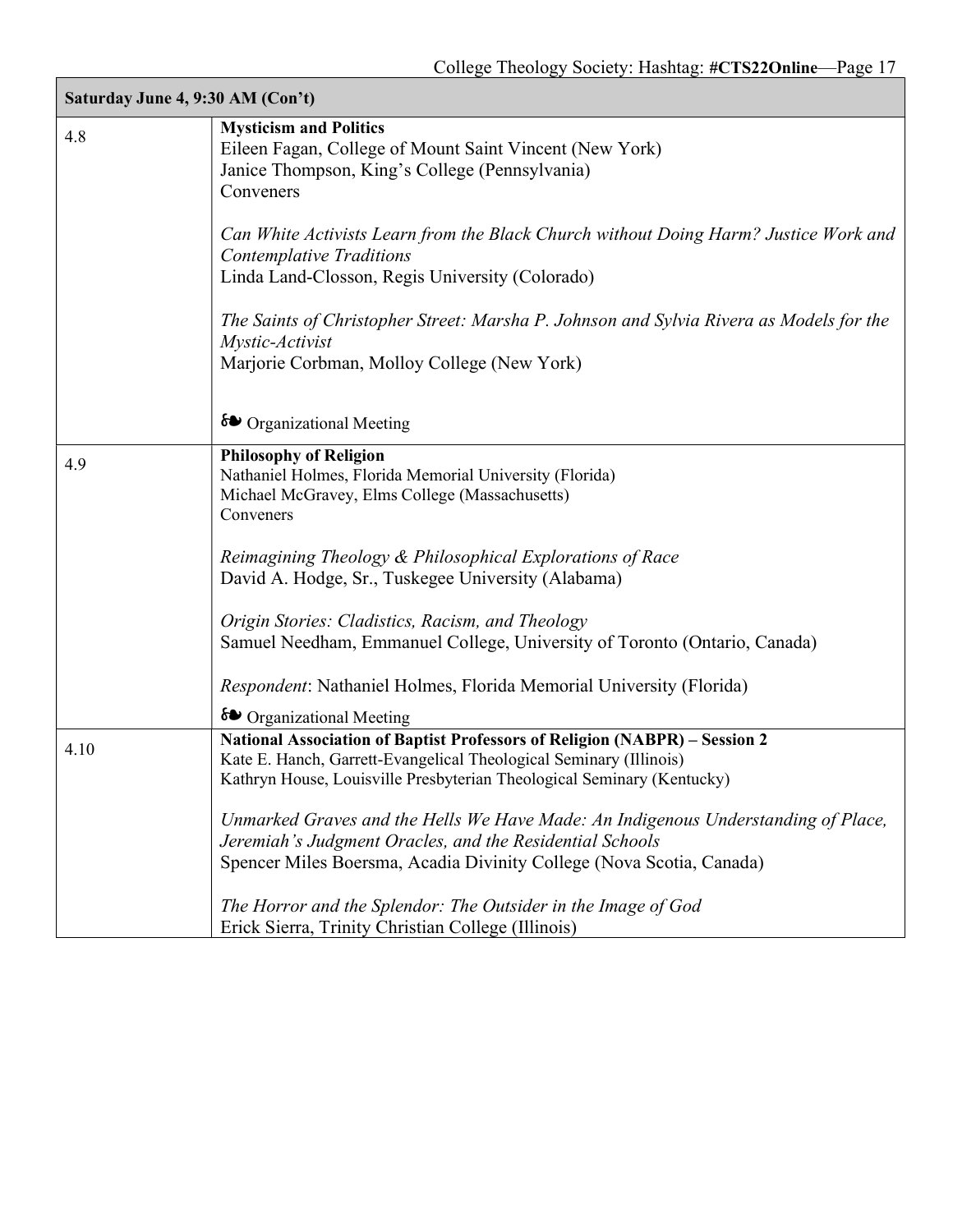| Saturday June 4, 9:30 AM (Con't) |                                                                                                                                                                                                                                   |
|----------------------------------|-----------------------------------------------------------------------------------------------------------------------------------------------------------------------------------------------------------------------------------|
| 4.8                              | <b>Mysticism and Politics</b><br>Eileen Fagan, College of Mount Saint Vincent (New York)<br>Janice Thompson, King's College (Pennsylvania)<br>Conveners                                                                           |
|                                  | Can White Activists Learn from the Black Church without Doing Harm? Justice Work and<br><b>Contemplative Traditions</b><br>Linda Land-Closson, Regis University (Colorado)                                                        |
|                                  | The Saints of Christopher Street: Marsha P. Johnson and Sylvia Rivera as Models for the<br>Mystic-Activist<br>Marjorie Corbman, Molloy College (New York)                                                                         |
|                                  | t <sup>t</sup> Organizational Meeting                                                                                                                                                                                             |
| 4.9                              | <b>Philosophy of Religion</b><br>Nathaniel Holmes, Florida Memorial University (Florida)<br>Michael McGravey, Elms College (Massachusetts)<br>Conveners                                                                           |
|                                  | Reimagining Theology & Philosophical Explorations of Race<br>David A. Hodge, Sr., Tuskegee University (Alabama)                                                                                                                   |
|                                  | Origin Stories: Cladistics, Racism, and Theology<br>Samuel Needham, Emmanuel College, University of Toronto (Ontario, Canada)                                                                                                     |
|                                  | Respondent: Nathaniel Holmes, Florida Memorial University (Florida)                                                                                                                                                               |
|                                  | t <sup>t</sup> Organizational Meeting                                                                                                                                                                                             |
| 4.10                             | <b>National Association of Baptist Professors of Religion (NABPR) – Session 2</b><br>Kate E. Hanch, Garrett-Evangelical Theological Seminary (Illinois)<br>Kathryn House, Louisville Presbyterian Theological Seminary (Kentucky) |
|                                  | Unmarked Graves and the Hells We Have Made: An Indigenous Understanding of Place,<br>Jeremiah's Judgment Oracles, and the Residential Schools<br>Spencer Miles Boersma, Acadia Divinity College (Nova Scotia, Canada)             |
|                                  | The Horror and the Splendor: The Outsider in the Image of God<br>Erick Sierra, Trinity Christian College (Illinois)                                                                                                               |

 $\mathbf{I}$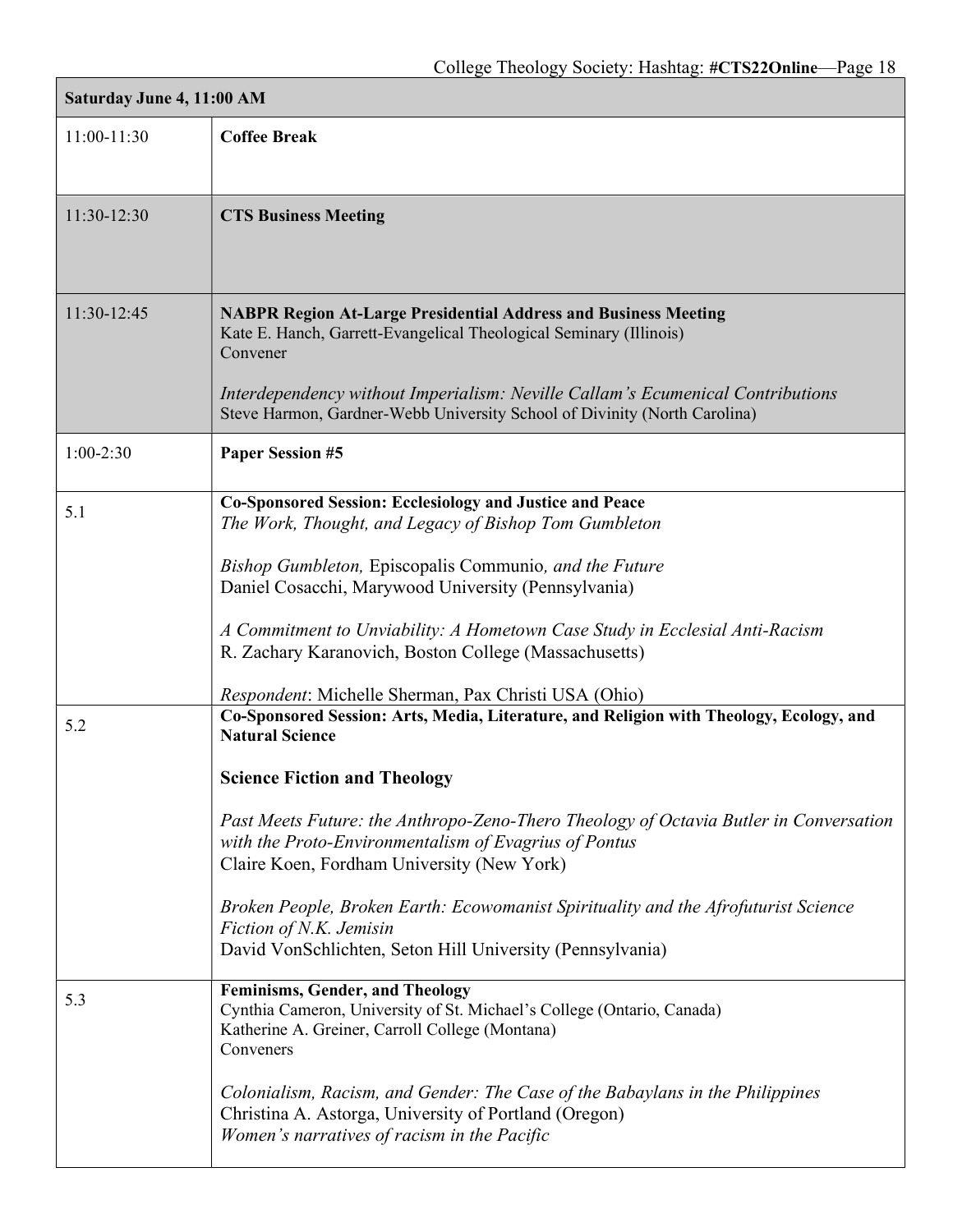| Saturday June 4, 11:00 AM |                                                                                                                                                                                                                                            |  |
|---------------------------|--------------------------------------------------------------------------------------------------------------------------------------------------------------------------------------------------------------------------------------------|--|
| 11:00-11:30               | <b>Coffee Break</b>                                                                                                                                                                                                                        |  |
| 11:30-12:30               | <b>CTS Business Meeting</b>                                                                                                                                                                                                                |  |
| 11:30-12:45               | <b>NABPR Region At-Large Presidential Address and Business Meeting</b><br>Kate E. Hanch, Garrett-Evangelical Theological Seminary (Illinois)<br>Convener<br>Interdependency without Imperialism: Neville Callam's Ecumenical Contributions |  |
|                           | Steve Harmon, Gardner-Webb University School of Divinity (North Carolina)                                                                                                                                                                  |  |
| $1:00-2:30$               | <b>Paper Session #5</b>                                                                                                                                                                                                                    |  |
| 5.1                       | <b>Co-Sponsored Session: Ecclesiology and Justice and Peace</b><br>The Work, Thought, and Legacy of Bishop Tom Gumbleton                                                                                                                   |  |
|                           | Bishop Gumbleton, Episcopalis Communio, and the Future<br>Daniel Cosacchi, Marywood University (Pennsylvania)                                                                                                                              |  |
|                           | A Commitment to Unviability: A Hometown Case Study in Ecclesial Anti-Racism<br>R. Zachary Karanovich, Boston College (Massachusetts)                                                                                                       |  |
|                           | Respondent: Michelle Sherman, Pax Christi USA (Ohio)                                                                                                                                                                                       |  |
| 5.2                       | Co-Sponsored Session: Arts, Media, Literature, and Religion with Theology, Ecology, and<br><b>Natural Science</b>                                                                                                                          |  |
|                           | <b>Science Fiction and Theology</b>                                                                                                                                                                                                        |  |
|                           | Past Meets Future: the Anthropo-Zeno-Thero Theology of Octavia Butler in Conversation<br>with the Proto-Environmentalism of Evagrius of Pontus<br>Claire Koen, Fordham University (New York)                                               |  |
|                           | Broken People, Broken Earth: Ecowomanist Spirituality and the Afrofuturist Science<br>Fiction of N.K. Jemisin<br>David VonSchlichten, Seton Hill University (Pennsylvania)                                                                 |  |
| 5.3                       | <b>Feminisms, Gender, and Theology</b><br>Cynthia Cameron, University of St. Michael's College (Ontario, Canada)<br>Katherine A. Greiner, Carroll College (Montana)<br>Conveners                                                           |  |
|                           | Colonialism, Racism, and Gender: The Case of the Babaylans in the Philippines<br>Christina A. Astorga, University of Portland (Oregon)<br>Women's narratives of racism in the Pacific                                                      |  |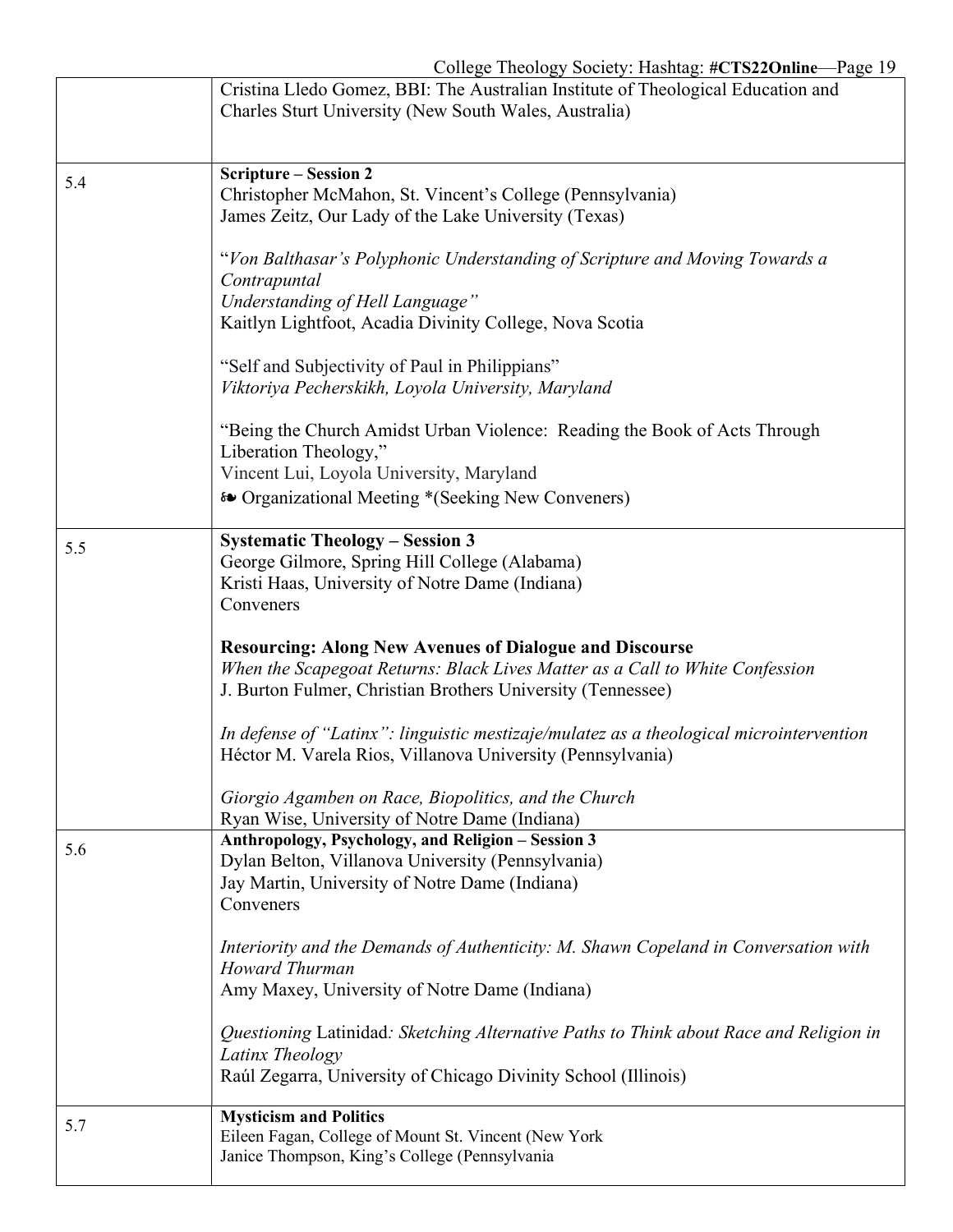|     | College Theology Society: Hashtag: #CTS22Online-Page 19                                               |
|-----|-------------------------------------------------------------------------------------------------------|
|     | Cristina Lledo Gomez, BBI: The Australian Institute of Theological Education and                      |
|     | Charles Sturt University (New South Wales, Australia)                                                 |
|     |                                                                                                       |
|     |                                                                                                       |
| 5.4 | <b>Scripture – Session 2</b>                                                                          |
|     | Christopher McMahon, St. Vincent's College (Pennsylvania)                                             |
|     | James Zeitz, Our Lady of the Lake University (Texas)                                                  |
|     |                                                                                                       |
|     | "Von Balthasar's Polyphonic Understanding of Scripture and Moving Towards a                           |
|     | Contrapuntal                                                                                          |
|     | Understanding of Hell Language"                                                                       |
|     | Kaitlyn Lightfoot, Acadia Divinity College, Nova Scotia                                               |
|     |                                                                                                       |
|     | "Self and Subjectivity of Paul in Philippians"                                                        |
|     | Viktoriya Pecherskikh, Loyola University, Maryland                                                    |
|     |                                                                                                       |
|     | "Being the Church Amidst Urban Violence: Reading the Book of Acts Through                             |
|     | Liberation Theology,"                                                                                 |
|     | Vincent Lui, Loyola University, Maryland                                                              |
|     | <b>ED</b> Organizational Meeting *(Seeking New Conveners)                                             |
|     |                                                                                                       |
|     | <b>Systematic Theology - Session 3</b>                                                                |
| 5.5 | George Gilmore, Spring Hill College (Alabama)                                                         |
|     | Kristi Haas, University of Notre Dame (Indiana)                                                       |
|     | Conveners                                                                                             |
|     |                                                                                                       |
|     | <b>Resourcing: Along New Avenues of Dialogue and Discourse</b>                                        |
|     |                                                                                                       |
|     | When the Scapegoat Returns: Black Lives Matter as a Call to White Confession                          |
|     | J. Burton Fulmer, Christian Brothers University (Tennessee)                                           |
|     |                                                                                                       |
|     | In defense of "Latinx": linguistic mestizaje/mulatez as a theological microintervention               |
|     | Héctor M. Varela Rios, Villanova University (Pennsylvania)                                            |
|     |                                                                                                       |
|     | Giorgio Agamben on Race, Biopolitics, and the Church                                                  |
|     | Ryan Wise, University of Notre Dame (Indiana)                                                         |
| 5.6 | Anthropology, Psychology, and Religion - Session 3                                                    |
|     | Dylan Belton, Villanova University (Pennsylvania)                                                     |
|     | Jay Martin, University of Notre Dame (Indiana)                                                        |
|     |                                                                                                       |
|     | Conveners                                                                                             |
|     |                                                                                                       |
|     | Interiority and the Demands of Authenticity: M. Shawn Copeland in Conversation with                   |
|     | <b>Howard Thurman</b>                                                                                 |
|     | Amy Maxey, University of Notre Dame (Indiana)                                                         |
|     |                                                                                                       |
|     | Questioning Latinidad: Sketching Alternative Paths to Think about Race and Religion in                |
|     | Latinx Theology                                                                                       |
|     | Raúl Zegarra, University of Chicago Divinity School (Illinois)                                        |
|     |                                                                                                       |
|     | <b>Mysticism and Politics</b>                                                                         |
| 5.7 | Eileen Fagan, College of Mount St. Vincent (New York<br>Janice Thompson, King's College (Pennsylvania |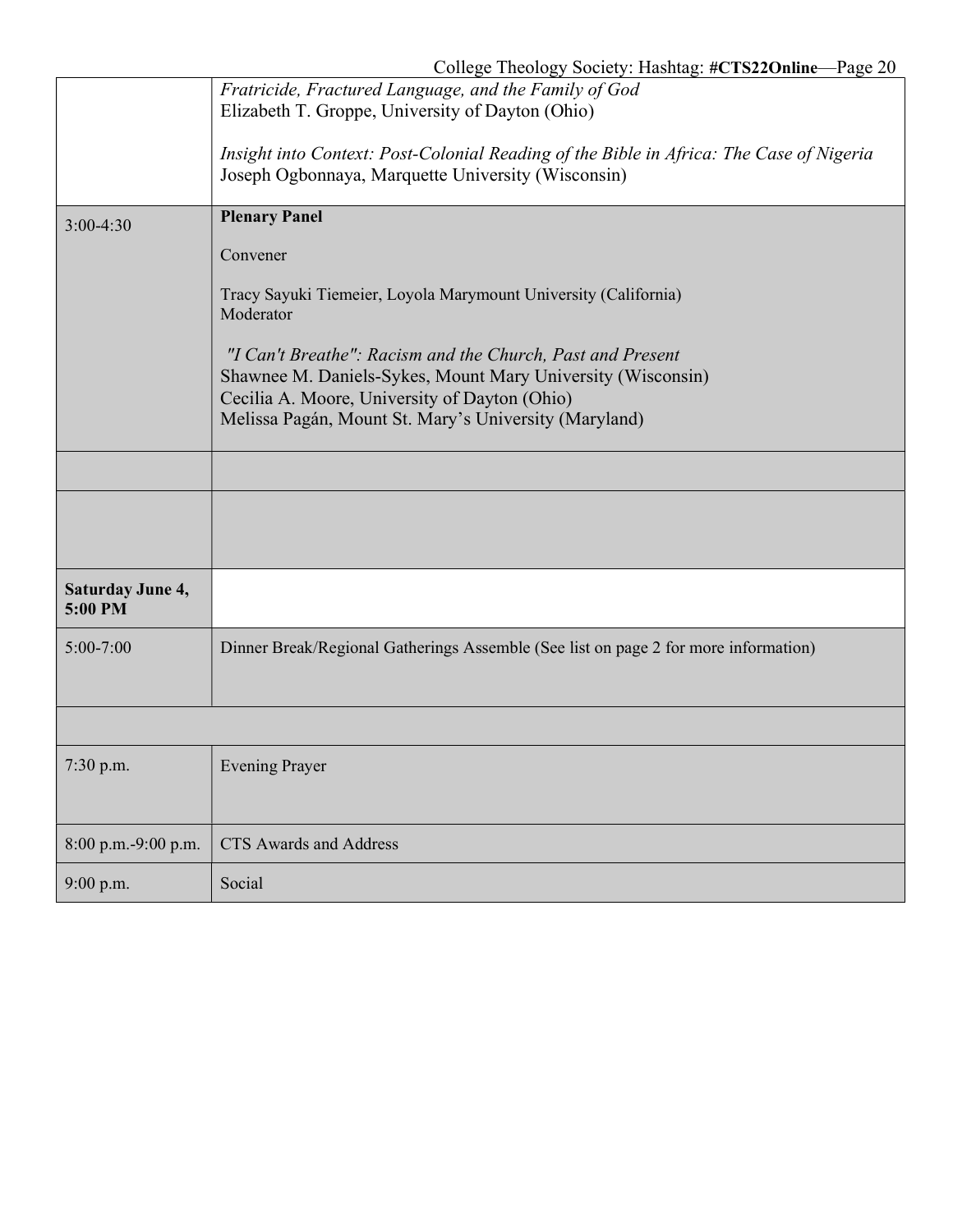|                                    | College Theology Society: Hashtag: #CTS22Online-Page 20                                                                                       |
|------------------------------------|-----------------------------------------------------------------------------------------------------------------------------------------------|
|                                    | Fratricide, Fractured Language, and the Family of God                                                                                         |
|                                    | Elizabeth T. Groppe, University of Dayton (Ohio)                                                                                              |
|                                    | Insight into Context: Post-Colonial Reading of the Bible in Africa: The Case of Nigeria<br>Joseph Ogbonnaya, Marquette University (Wisconsin) |
| $3:00-4:30$                        | <b>Plenary Panel</b>                                                                                                                          |
|                                    | Convener                                                                                                                                      |
|                                    | Tracy Sayuki Tiemeier, Loyola Marymount University (California)<br>Moderator                                                                  |
|                                    |                                                                                                                                               |
|                                    | "I Can't Breathe": Racism and the Church, Past and Present<br>Shawnee M. Daniels-Sykes, Mount Mary University (Wisconsin)                     |
|                                    | Cecilia A. Moore, University of Dayton (Ohio)                                                                                                 |
|                                    | Melissa Pagán, Mount St. Mary's University (Maryland)                                                                                         |
|                                    |                                                                                                                                               |
|                                    |                                                                                                                                               |
|                                    |                                                                                                                                               |
|                                    |                                                                                                                                               |
| <b>Saturday June 4,</b><br>5:00 PM |                                                                                                                                               |
| 5:00-7:00                          | Dinner Break/Regional Gatherings Assemble (See list on page 2 for more information)                                                           |
|                                    |                                                                                                                                               |
|                                    |                                                                                                                                               |
|                                    |                                                                                                                                               |
| 7:30 p.m.                          | <b>Evening Prayer</b>                                                                                                                         |
|                                    |                                                                                                                                               |
| 8:00 p.m.-9:00 p.m.                | <b>CTS Awards and Address</b>                                                                                                                 |
| 9:00 p.m.                          | Social                                                                                                                                        |